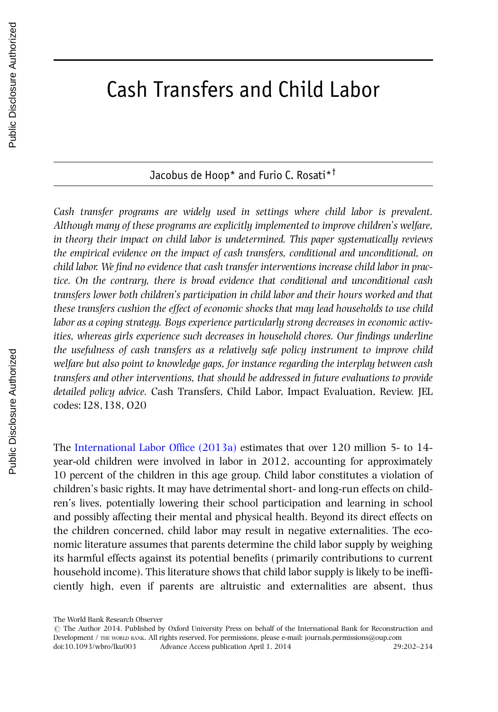# Cash Transfers and Child Labor

# Jacobus de Hoop\* and Furio C. Rosati\*†

Cash transfer programs are widely used in settings where child labor is prevalent. Although many of these programs are explicitly implemented to improve children's welfare, in theory their impact on child labor is undetermined. This paper systematically reviews the empirical evidence on the impact of cash transfers, conditional and unconditional, on child labor. We find no evidence that cash transfer interventions increase child labor in practice. On the contrary, there is broad evidence that conditional and unconditional cash transfers lower both children's participation in child labor and their hours worked and that these transfers cushion the effect of economic shocks that may lead households to use child labor as a coping strategy. Boys experience particularly strong decreases in economic activities, whereas girls experience such decreases in household chores. Our findings underline the usefulness of cash transfers as a relatively safe policy instrument to improve child welfare but also point to knowledge gaps, for instance regarding the interplay between cash transfers and other interventions, that should be addressed in future evaluations to provide detailed policy advice. Cash Transfers, Child Labor, Impact Evaluation, Review. JEL codes: I28, I38, O20

The [International Labor Office \(2013a\)](#page-31-0) estimates that over 120 million 5- to 14 year-old children were involved in labor in 2012, accounting for approximately 10 percent of the children in this age group. Child labor constitutes a violation of children's basic rights. It may have detrimental short- and long-run effects on children's lives, potentially lowering their school participation and learning in school and possibly affecting their mental and physical health. Beyond its direct effects on the children concerned, child labor may result in negative externalities. The economic literature assumes that parents determine the child labor supply by weighing its harmful effects against its potential benefits ( primarily contributions to current household income). This literature shows that child labor supply is likely to be inefficiently high, even if parents are altruistic and externalities are absent, thus

The World Bank Research Observer

<sup>©</sup> The Author 2014. Published by Oxford University Press on behalf of the International Bank for Reconstruction and Development / THE WORLD BANK. All rights reserved. For permissions, please e-mail: journals.permissions@oup.com doi:10.1093/wbro/lku003 Advance Access publication April 1, 2014 29:202–234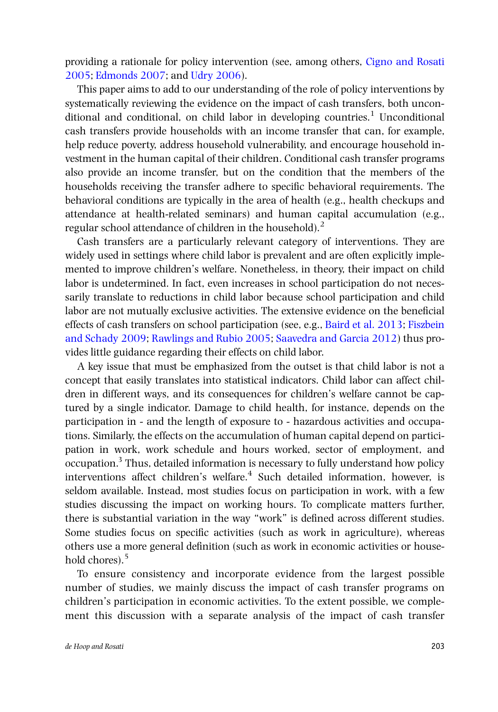providing a rationale for policy intervention (see, among others, [Cigno and Rosati](#page-30-0) [2005;](#page-30-0) [Edmonds 2007;](#page-30-0) and [Udry 2006](#page-32-0)).

This paper aims to add to our understanding of the role of policy interventions by systematically reviewing the evidence on the impact of cash transfers, both unconditional and conditional, on child labor in developing countries.<sup>1</sup> Unconditional cash transfers provide households with an income transfer that can, for example, help reduce poverty, address household vulnerability, and encourage household investment in the human capital of their children. Conditional cash transfer programs also provide an income transfer, but on the condition that the members of the households receiving the transfer adhere to specific behavioral requirements. The behavioral conditions are typically in the area of health (e.g., health checkups and attendance at health-related seminars) and human capital accumulation (e.g., regular school attendance of children in the household).<sup>2</sup>

Cash transfers are a particularly relevant category of interventions. They are widely used in settings where child labor is prevalent and are often explicitly implemented to improve children's welfare. Nonetheless, in theory, their impact on child labor is undetermined. In fact, even increases in school participation do not necessarily translate to reductions in child labor because school participation and child labor are not mutually exclusive activities. The extensive evidence on the beneficial effects of cash transfers on school participation (see, e.g., [Baird et al. 2013;](#page-29-0) [Fiszbein](#page-31-0) [and Schady 2009](#page-31-0); [Rawlings and Rubio 2005;](#page-32-0) [Saavedra and Garcia 2012\)](#page-32-0) thus provides little guidance regarding their effects on child labor.

A key issue that must be emphasized from the outset is that child labor is not a concept that easily translates into statistical indicators. Child labor can affect children in different ways, and its consequences for children's welfare cannot be captured by a single indicator. Damage to child health, for instance, depends on the participation in - and the length of exposure to - hazardous activities and occupations. Similarly, the effects on the accumulation of human capital depend on participation in work, work schedule and hours worked, sector of employment, and occupation.3 Thus, detailed information is necessary to fully understand how policy interventions affect children's welfare.<sup>4</sup> Such detailed information, however, is seldom available. Instead, most studies focus on participation in work, with a few studies discussing the impact on working hours. To complicate matters further, there is substantial variation in the way "work" is defined across different studies. Some studies focus on specific activities (such as work in agriculture), whereas others use a more general definition (such as work in economic activities or household chores).<sup>5</sup>

To ensure consistency and incorporate evidence from the largest possible number of studies, we mainly discuss the impact of cash transfer programs on children's participation in economic activities. To the extent possible, we complement this discussion with a separate analysis of the impact of cash transfer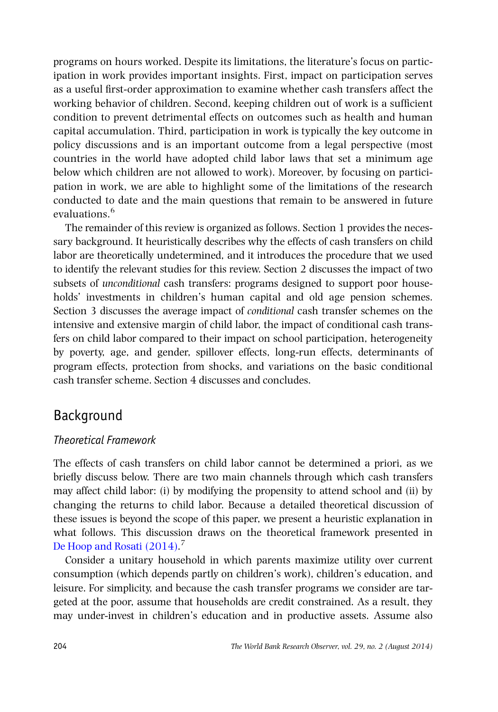programs on hours worked. Despite its limitations, the literature's focus on participation in work provides important insights. First, impact on participation serves as a useful first-order approximation to examine whether cash transfers affect the working behavior of children. Second, keeping children out of work is a sufficient condition to prevent detrimental effects on outcomes such as health and human capital accumulation. Third, participation in work is typically the key outcome in policy discussions and is an important outcome from a legal perspective (most countries in the world have adopted child labor laws that set a minimum age below which children are not allowed to work). Moreover, by focusing on participation in work, we are able to highlight some of the limitations of the research conducted to date and the main questions that remain to be answered in future evaluations.<sup>6</sup>

The remainder of this review is organized as follows. Section 1 provides the necessary background. It heuristically describes why the effects of cash transfers on child labor are theoretically undetermined, and it introduces the procedure that we used to identify the relevant studies for this review. Section 2 discusses the impact of two subsets of unconditional cash transfers: programs designed to support poor households' investments in children's human capital and old age pension schemes. Section 3 discusses the average impact of conditional cash transfer schemes on the intensive and extensive margin of child labor, the impact of conditional cash transfers on child labor compared to their impact on school participation, heterogeneity by poverty, age, and gender, spillover effects, long-run effects, determinants of program effects, protection from shocks, and variations on the basic conditional cash transfer scheme. Section 4 discusses and concludes.

# Background

### Theoretical Framework

The effects of cash transfers on child labor cannot be determined a priori, as we briefly discuss below. There are two main channels through which cash transfers may affect child labor: (i) by modifying the propensity to attend school and (ii) by changing the returns to child labor. Because a detailed theoretical discussion of these issues is beyond the scope of this paper, we present a heuristic explanation in what follows. This discussion draws on the theoretical framework presented in [De Hoop and Rosati \(2014\).](#page-30-0)<sup>7</sup>

Consider a unitary household in which parents maximize utility over current consumption (which depends partly on children's work), children's education, and leisure. For simplicity, and because the cash transfer programs we consider are targeted at the poor, assume that households are credit constrained. As a result, they may under-invest in children's education and in productive assets. Assume also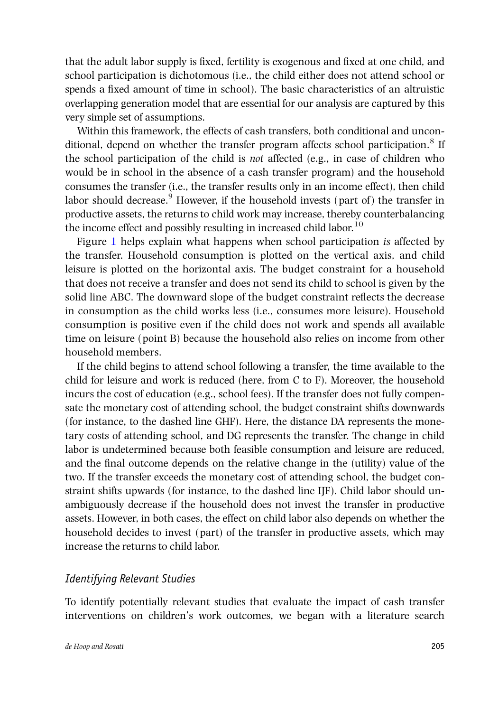that the adult labor supply is fixed, fertility is exogenous and fixed at one child, and school participation is dichotomous (i.e., the child either does not attend school or spends a fixed amount of time in school). The basic characteristics of an altruistic overlapping generation model that are essential for our analysis are captured by this very simple set of assumptions.

Within this framework, the effects of cash transfers, both conditional and unconditional, depend on whether the transfer program affects school participation.<sup>8</sup> If the school participation of the child is not affected (e.g., in case of children who would be in school in the absence of a cash transfer program) and the household consumes the transfer (i.e., the transfer results only in an income effect), then child labor should decrease.<sup>9</sup> However, if the household invests (part of) the transfer in productive assets, the returns to child work may increase, thereby counterbalancing the income effect and possibly resulting in increased child labor.<sup>10</sup>

Figure [1](#page-4-0) helps explain what happens when school participation is affected by the transfer. Household consumption is plotted on the vertical axis, and child leisure is plotted on the horizontal axis. The budget constraint for a household that does not receive a transfer and does not send its child to school is given by the solid line ABC. The downward slope of the budget constraint reflects the decrease in consumption as the child works less (i.e., consumes more leisure). Household consumption is positive even if the child does not work and spends all available time on leisure ( point B) because the household also relies on income from other household members.

If the child begins to attend school following a transfer, the time available to the child for leisure and work is reduced (here, from C to F). Moreover, the household incurs the cost of education (e.g., school fees). If the transfer does not fully compensate the monetary cost of attending school, the budget constraint shifts downwards (for instance, to the dashed line GHF). Here, the distance DA represents the monetary costs of attending school, and DG represents the transfer. The change in child labor is undetermined because both feasible consumption and leisure are reduced, and the final outcome depends on the relative change in the (utility) value of the two. If the transfer exceeds the monetary cost of attending school, the budget constraint shifts upwards (for instance, to the dashed line IJF). Child labor should unambiguously decrease if the household does not invest the transfer in productive assets. However, in both cases, the effect on child labor also depends on whether the household decides to invest ( part) of the transfer in productive assets, which may increase the returns to child labor.

#### Identifying Relevant Studies

To identify potentially relevant studies that evaluate the impact of cash transfer interventions on children's work outcomes, we began with a literature search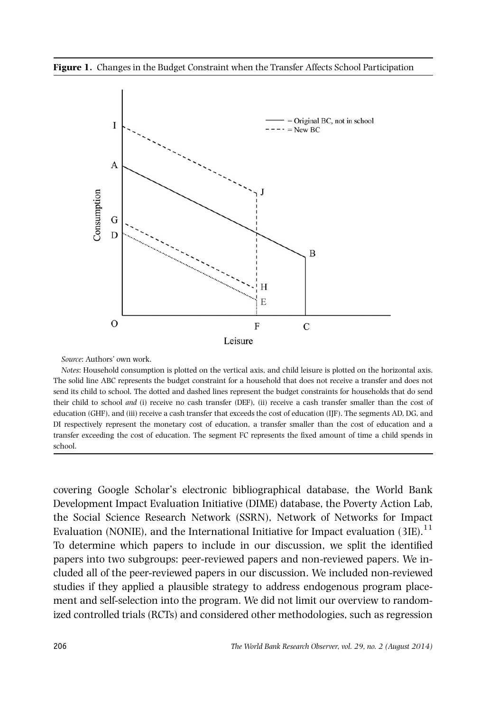<span id="page-4-0"></span>



Source: Authors' own work.

Notes: Household consumption is plotted on the vertical axis, and child leisure is plotted on the horizontal axis. The solid line ABC represents the budget constraint for a household that does not receive a transfer and does not send its child to school. The dotted and dashed lines represent the budget constraints for households that do send their child to school and (i) receive no cash transfer (DEF), (ii) receive a cash transfer smaller than the cost of education (GHF), and (iii) receive a cash transfer that exceeds the cost of education (IJF). The segments AD, DG, and DI respectively represent the monetary cost of education, a transfer smaller than the cost of education and a transfer exceeding the cost of education. The segment FC represents the fixed amount of time a child spends in school.

covering Google Scholar's electronic bibliographical database, the World Bank Development Impact Evaluation Initiative (DIME) database, the Poverty Action Lab, the Social Science Research Network (SSRN), Network of Networks for Impact Evaluation (NONIE), and the International Initiative for Impact evaluation  $(3IE).<sup>11</sup>$ To determine which papers to include in our discussion, we split the identified papers into two subgroups: peer-reviewed papers and non-reviewed papers. We included all of the peer-reviewed papers in our discussion. We included non-reviewed studies if they applied a plausible strategy to address endogenous program placement and self-selection into the program. We did not limit our overview to randomized controlled trials (RCTs) and considered other methodologies, such as regression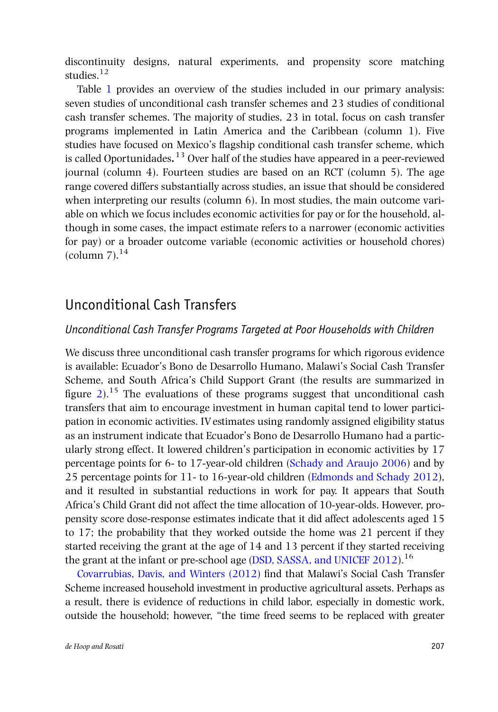discontinuity designs, natural experiments, and propensity score matching studies.<sup>12</sup>

Table [1](#page-6-0) provides an overview of the studies included in our primary analysis: seven studies of unconditional cash transfer schemes and 23 studies of conditional cash transfer schemes. The majority of studies, 23 in total, focus on cash transfer programs implemented in Latin America and the Caribbean (column 1). Five studies have focused on Mexico's flagship conditional cash transfer scheme, which is called Oportunidades.  $^{\rm 13}$  Over half of the studies have appeared in a peer-reviewed journal (column 4). Fourteen studies are based on an RCT (column 5). The age range covered differs substantially across studies, an issue that should be considered when interpreting our results (column 6). In most studies, the main outcome variable on which we focus includes economic activities for pay or for the household, although in some cases, the impact estimate refers to a narrower (economic activities for pay) or a broader outcome variable (economic activities or household chores) (column  $7$ ).<sup>14</sup>

# Unconditional Cash Transfers

### Unconditional Cash Transfer Programs Targeted at Poor Households with Children

We discuss three unconditional cash transfer programs for which rigorous evidence is available: Ecuador's Bono de Desarrollo Humano, Malawi's Social Cash Transfer Scheme, and South Africa's Child Support Grant (the results are summarized in figure [2\)](#page-9-0).<sup>15</sup> The evaluations of these programs suggest that unconditional cash transfers that aim to encourage investment in human capital tend to lower participation in economic activities. IV estimates using randomly assigned eligibility status as an instrument indicate that Ecuador's Bono de Desarrollo Humano had a particularly strong effect. It lowered children's participation in economic activities by 17 percentage points for 6- to 17-year-old children [\(Schady and Araujo 2006\)](#page-32-0) and by 25 percentage points for 11- to 16-year-old children [\(Edmonds and Schady 2012\)](#page-31-0), and it resulted in substantial reductions in work for pay. It appears that South Africa's Child Grant did not affect the time allocation of 10-year-olds. However, propensity score dose-response estimates indicate that it did affect adolescents aged 15 to 17; the probability that they worked outside the home was 21 percent if they started receiving the grant at the age of 14 and 13 percent if they started receiving the grant at the infant or pre-school age [\(DSD, SASSA, and UNICEF 2012\)](#page-30-0).<sup>16</sup>

[Covarrubias, Davis, and Winters \(2012\)](#page-30-0) find that Malawi's Social Cash Transfer Scheme increased household investment in productive agricultural assets. Perhaps as a result, there is evidence of reductions in child labor, especially in domestic work, outside the household; however, "the time freed seems to be replaced with greater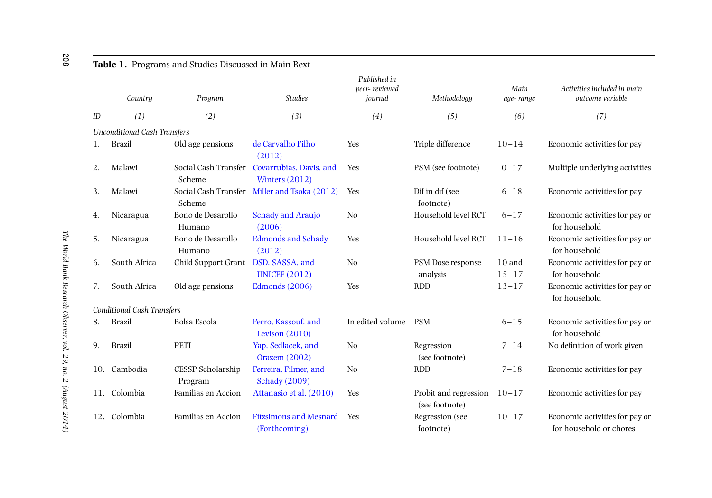<span id="page-6-0"></span>

|     | Country                             | Program                        | <b>Studies</b>                                 | Published in<br>peer- reviewed<br>journal | Methodology                             | Main<br>age-range     | Activities included in main<br>outcome variable           |  |
|-----|-------------------------------------|--------------------------------|------------------------------------------------|-------------------------------------------|-----------------------------------------|-----------------------|-----------------------------------------------------------|--|
| ID  | (1)                                 | (2)                            | (3)                                            | (4)                                       | (5)                                     | (6)                   | (7)                                                       |  |
|     | <b>Unconditional Cash Transfers</b> |                                |                                                |                                           |                                         |                       |                                                           |  |
|     | <b>Brazil</b>                       | Old age pensions               | de Carvalho Filho<br>(2012)                    | Yes                                       | Triple difference                       | $10 - 14$             | Economic activities for pay                               |  |
| 2.  | Malawi                              | Social Cash Transfer<br>Scheme | Covarrubias, Davis, and<br>Winters $(2012)$    | PSM (see footnote)<br>Yes                 |                                         | $0 - 17$              | Multiple underlying activities                            |  |
| 3.  | Malawi                              | Social Cash Transfer<br>Scheme | Miller and Tsoka (2012)                        | Yes                                       | Dif in dif (see<br>footnote)            | $6 - 18$              | Economic activities for pay                               |  |
| 4.  | Nicaragua                           | Bono de Desarollo<br>Humano    | <b>Schady and Araujo</b><br>(2006)             | N <sub>0</sub>                            | Household level RCT                     | $6 - 17$              | Economic activities for pay or<br>for household           |  |
| 5.  | Nicaragua                           | Bono de Desarollo<br>Humano    | <b>Edmonds and Schady</b><br>(2012)            | Yes                                       | Household level RCT                     | $11 - 16$             | Economic activities for pay or<br>for household           |  |
| 6.  | South Africa                        | <b>Child Support Grant</b>     | DSD, SASSA, and<br><b>UNICEF (2012)</b>        | No                                        | PSM Dose response<br>analysis           | $10$ and<br>$15 - 17$ | Economic activities for pay or<br>for household           |  |
| 7.  | South Africa                        | Old age pensions               | Edmonds (2006)                                 | Yes                                       | <b>RDD</b>                              | $13 - 17$             | Economic activities for pay or<br>for household           |  |
|     | Conditional Cash Transfers          |                                |                                                |                                           |                                         |                       |                                                           |  |
| 8.  | <b>Brazil</b>                       | Bolsa Escola                   | Ferro, Kassouf, and<br>Levison $(2010)$        | In edited volume                          | <b>PSM</b>                              | $6 - 15$              | Economic activities for pay or<br>for household           |  |
| 9.  | Brazil                              | <b>PETI</b>                    | Yap, Sedlacek, and<br>Orazem $(2002)$          | N <sub>0</sub>                            | Regression<br>(see footnote)            | $7 - 14$              | No definition of work given                               |  |
| 10. | Cambodia                            | CESSP Scholarship<br>Program   | Ferreira. Filmer, and<br><b>Schady</b> (2009)  | N <sub>0</sub>                            | <b>RDD</b>                              | $7 - 18$              | Economic activities for pay                               |  |
| 11. | Colombia                            | Familias en Accion             | Attanasio et al. (2010)                        | Yes                                       | Probit and regression<br>(see footnote) | $10 - 17$             | Economic activities for pay                               |  |
|     | 12. Colombia                        | Familias en Accion             | <b>Fitzsimons and Mesnard</b><br>(Forthcoming) | Yes                                       | Regression (see<br>footnote)            | $10 - 17$             | Economic activities for pay or<br>for household or chores |  |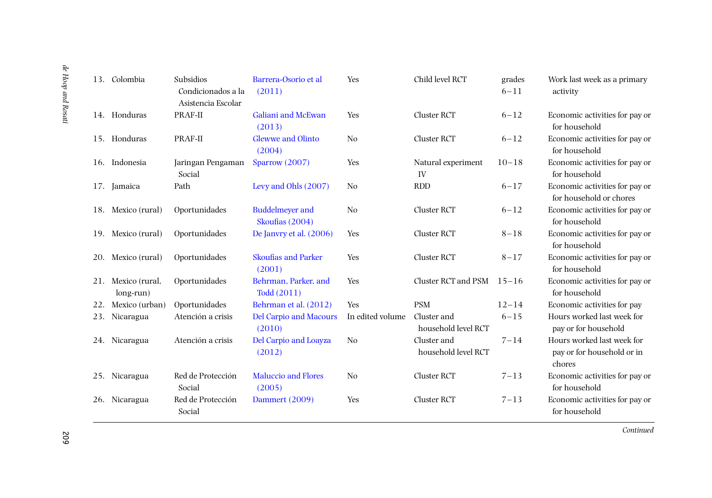|     | 13. Colombia                      | Subsidios<br>Condicionados a la<br>Asistencia Escolar | Barrera-Osorio et al<br>(2011)            | Yes              | Child level RCT                    | grades<br>$6 - 11$ | Work last week as a primary<br>activity                            |
|-----|-----------------------------------|-------------------------------------------------------|-------------------------------------------|------------------|------------------------------------|--------------------|--------------------------------------------------------------------|
|     | 14. Honduras                      | PRAF-II                                               | <b>Galiani and McEwan</b><br>(2013)       | Yes              | Cluster RCT                        | $6 - 12$           | Economic activities for pay or<br>for household                    |
|     | 15. Honduras                      | PRAF-II                                               | <b>Glewwe and Olinto</b><br>(2004)        | N <sub>0</sub>   | Cluster RCT                        | $6 - 12$           | Economic activities for pay or<br>for household                    |
|     | 16. Indonesia                     | Jaringan Pengaman<br>Social                           | Sparrow $(2007)$                          | Yes              | Natural experiment<br><b>IV</b>    | $10 - 18$          | Economic activities for pay or<br>for household                    |
|     | 17. Jamaica                       | Path                                                  | Levy and Ohls (2007)                      | No               | <b>RDD</b>                         | $6 - 17$           | Economic activities for pay or<br>for household or chores          |
|     | 18. Mexico (rural)                | Oportunidades                                         | <b>Buddelmever</b> and<br>Skoufias (2004) | N <sub>0</sub>   | Cluster RCT                        | $6 - 12$           | Economic activities for pay or<br>for household                    |
|     | 19. Mexico (rural)                | Oportunidades                                         | De Janvry et al. $(2006)$                 | Yes              | Cluster RCT                        | $8 - 18$           | Economic activities for pay or<br>for household                    |
| 20. | Mexico (rural)                    | Oportunidades                                         | <b>Skoufias and Parker</b><br>(2001)      | Yes              | Cluster RCT                        | $8 - 17$           | Economic activities for pay or<br>for household                    |
|     | 21. Mexico (rural,<br>$long-run)$ | Oportunidades                                         | Behrman, Parker, and<br>Todd (2011)       | Yes              | Cluster RCT and PSM                | $15 - 16$          | Economic activities for pay or<br>for household                    |
| 22. | Mexico (urban)                    | Oportunidades                                         | Behrman et al. (2012)                     | Yes              | <b>PSM</b>                         | $12 - 14$          | Economic activities for pay                                        |
| 23. | Nicaragua                         | Atención a crisis                                     | <b>Del Carpio and Macours</b><br>(2010)   | In edited volume | Cluster and<br>household level RCT | $6 - 15$           | Hours worked last week for<br>pay or for household                 |
|     | 24. Nicaragua                     | Atención a crisis                                     | Del Carpio and Loayza<br>(2012)           | No               | Cluster and<br>household level RCT | $7 - 14$           | Hours worked last week for<br>pay or for household or in<br>chores |
|     | 25. Nicaragua                     | Red de Protección<br>Social                           | <b>Maluccio and Flores</b><br>(2005)      | No               | Cluster RCT                        | $7 - 13$           | Economic activities for pay or<br>for household                    |
|     | 26. Nicaragua                     | Red de Protección<br>Social                           | Dammert (2009)                            | Yes              | Cluster RCT                        | $7 - 13$           | Economic activities for pay or<br>for household                    |

209

Continued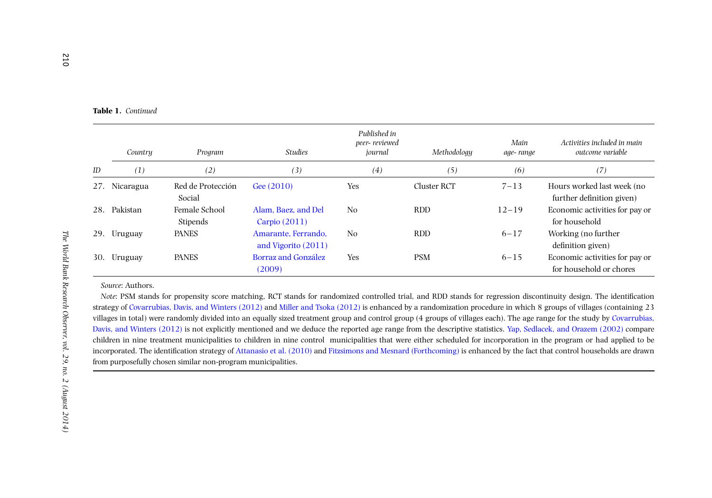|  |  | <b>Table 1.</b> Continued |
|--|--|---------------------------|
|--|--|---------------------------|

|     | Country       | Program                     | <b>Studies</b>                             | Published in<br>peer-reviewed<br>Methodology<br>journal |             | Main<br>age- range | Activities included in main<br>outcome variable           |
|-----|---------------|-----------------------------|--------------------------------------------|---------------------------------------------------------|-------------|--------------------|-----------------------------------------------------------|
| ID  | (1)           | (2)                         | $\left( 3\right)$                          | (4)                                                     | (5)         | (6)                | (7)                                                       |
|     | 27. Nicaragua | Red de Protección<br>Social | Gee (2010)                                 | Yes                                                     | Cluster RCT | $7 - 13$           | Hours worked last week (no<br>further definition given)   |
| 28. | Pakistan      | Female School<br>Stipends   | Alam, Baez, and Del<br>Carpio $(2011)$     | N <sub>0</sub>                                          | <b>RDD</b>  | $12 - 19$          | Economic activities for pay or<br>for household           |
|     | 29. Uruguay   | <b>PANES</b>                | Amarante, Ferrando.<br>and Vigorito (2011) | N <sub>0</sub>                                          | <b>RDD</b>  | $6 - 17$           | Working (no further<br>definition given)                  |
|     | 30. Uruguay   | <b>PANES</b>                | Borraz and González<br>(2009)              | Yes                                                     | <b>PSM</b>  | $6 - 15$           | Economic activities for pay or<br>for household or chores |

Source: Authors.

Note: PSM stands for propensity score matching, RCT stands for randomized controlled trial, and RDD stands for regression discontinuity design. The identification strategy of [Covarrubias,](#page-30-0) Davis, and Winters [\(2012\)](#page-31-0) and Miller and Tsoka (2012) is enhanced by a randomization procedure in which 8 groups of villages (containing 23 villages in total) were randomly divided into an equally sized treatment group and control group (4 groups of villages each). The age range for the study by [Covarrubias,](#page-30-0) Davis, and Winters [\(2012\)](#page-30-0) is not explicitly mentioned and we deduce the reported age range from the descriptive statistics. Yap, [Sedlacek,](#page-32-0) and Orazem (2002) compare children in nine treatment municipalities to children in nine control municipalities that were either scheduled for incorporation in the program or had applied to be incorporated. The identification strategy of [Attanasio](#page-29-0) et al. (2010) and Fitzsimons and Mesnard [\(Forthcoming\)](#page-31-0) is enhanced by the fact that control households are drawn from purposefully chosen similar non-program municipalities.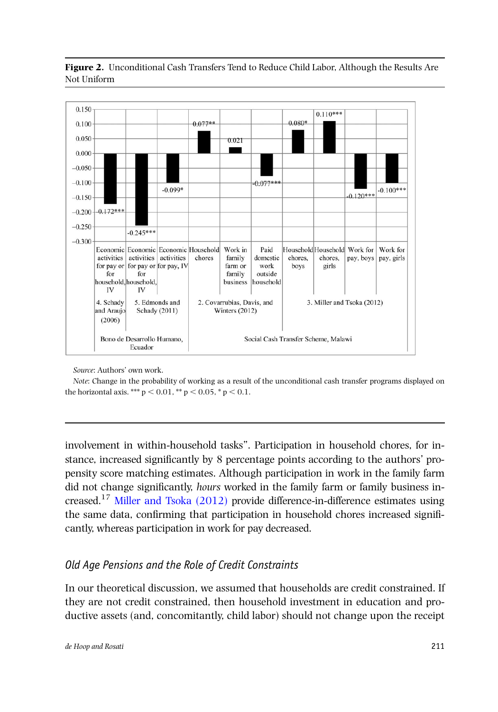

<span id="page-9-0"></span>Figure 2. Unconditional Cash Transfers Tend to Reduce Child Labor, Although the Results Are Not Uniform

Source: Authors' own work.

Note: Change in the probability of working as a result of the unconditional cash transfer programs displayed on the horizontal axis. \*\*\*  $p < 0.01$ , \*\*  $p < 0.05$ , \*  $p < 0.1$ .

involvement in within-household tasks". Participation in household chores, for instance, increased significantly by 8 percentage points according to the authors' propensity score matching estimates. Although participation in work in the family farm did not change significantly, hours worked in the family farm or family business increased.17 [Miller and Tsoka \(2012\)](#page-31-0) provide difference-in-difference estimates using the same data, confirming that participation in household chores increased significantly, whereas participation in work for pay decreased.

### Old Age Pensions and the Role of Credit Constraints

In our theoretical discussion, we assumed that households are credit constrained. If they are not credit constrained, then household investment in education and productive assets (and, concomitantly, child labor) should not change upon the receipt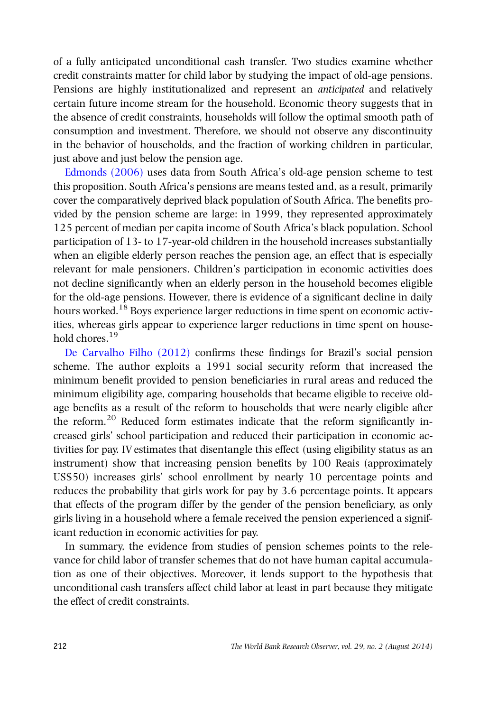of a fully anticipated unconditional cash transfer. Two studies examine whether credit constraints matter for child labor by studying the impact of old-age pensions. Pensions are highly institutionalized and represent an anticipated and relatively certain future income stream for the household. Economic theory suggests that in the absence of credit constraints, households will follow the optimal smooth path of consumption and investment. Therefore, we should not observe any discontinuity in the behavior of households, and the fraction of working children in particular, just above and just below the pension age.

[Edmonds \(2006\)](#page-30-0) uses data from South Africa's old-age pension scheme to test this proposition. South Africa's pensions are means tested and, as a result, primarily cover the comparatively deprived black population of South Africa. The benefits provided by the pension scheme are large: in 1999, they represented approximately 125 percent of median per capita income of South Africa's black population. School participation of 13- to 17-year-old children in the household increases substantially when an eligible elderly person reaches the pension age, an effect that is especially relevant for male pensioners. Children's participation in economic activities does not decline significantly when an elderly person in the household becomes eligible for the old-age pensions. However, there is evidence of a significant decline in daily hours worked.<sup>18</sup> Boys experience larger reductions in time spent on economic activities, whereas girls appear to experience larger reductions in time spent on household chores.<sup>19</sup>

[De Carvalho Filho \(2012\)](#page-30-0) confirms these findings for Brazil's social pension scheme. The author exploits a 1991 social security reform that increased the minimum benefit provided to pension beneficiaries in rural areas and reduced the minimum eligibility age, comparing households that became eligible to receive oldage benefits as a result of the reform to households that were nearly eligible after the reform.<sup>20</sup> Reduced form estimates indicate that the reform significantly increased girls' school participation and reduced their participation in economic activities for pay. IV estimates that disentangle this effect (using eligibility status as an instrument) show that increasing pension benefits by 100 Reais (approximately US\$50) increases girls' school enrollment by nearly 10 percentage points and reduces the probability that girls work for pay by 3.6 percentage points. It appears that effects of the program differ by the gender of the pension beneficiary, as only girls living in a household where a female received the pension experienced a significant reduction in economic activities for pay.

In summary, the evidence from studies of pension schemes points to the relevance for child labor of transfer schemes that do not have human capital accumulation as one of their objectives. Moreover, it lends support to the hypothesis that unconditional cash transfers affect child labor at least in part because they mitigate the effect of credit constraints.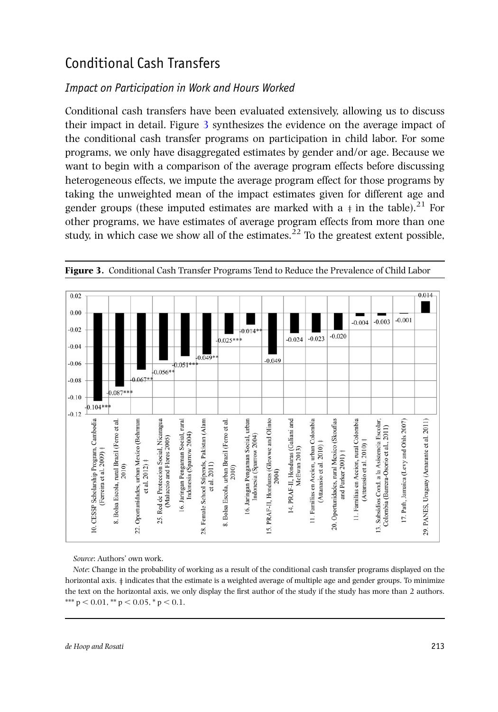# <span id="page-11-0"></span>Conditional Cash Transfers

# Impact on Participation in Work and Hours Worked

Conditional cash transfers have been evaluated extensively, allowing us to discuss their impact in detail. Figure 3 synthesizes the evidence on the average impact of the conditional cash transfer programs on participation in child labor. For some programs, we only have disaggregated estimates by gender and/or age. Because we want to begin with a comparison of the average program effects before discussing heterogeneous effects, we impute the average program effect for those programs by taking the unweighted mean of the impact estimates given for different age and gender groups (these imputed estimates are marked with a  $\pm$  in the table).<sup>21</sup> For other programs, we have estimates of average program effects from more than one study, in which case we show all of the estimates.<sup>22</sup> To the greatest extent possible,

| 0.02    |                                         |                                             |                                          |                                         |                                     |                                            |                                             |                                     |                                          |                                    |                                        |                                           |                                        |                                              |                                        | 0.014                                     |
|---------|-----------------------------------------|---------------------------------------------|------------------------------------------|-----------------------------------------|-------------------------------------|--------------------------------------------|---------------------------------------------|-------------------------------------|------------------------------------------|------------------------------------|----------------------------------------|-------------------------------------------|----------------------------------------|----------------------------------------------|----------------------------------------|-------------------------------------------|
| 0.00    |                                         |                                             |                                          |                                         |                                     |                                            |                                             |                                     |                                          |                                    |                                        |                                           |                                        |                                              | $-0.001$                               |                                           |
| $-0.02$ |                                         |                                             |                                          |                                         |                                     |                                            |                                             | $-0.014$                            |                                          |                                    |                                        |                                           | $-0.004$                               | $-0.003$                                     |                                        |                                           |
| $-0.04$ |                                         |                                             |                                          |                                         |                                     |                                            | $-0.025***$                                 |                                     |                                          | $-0.024$                           | $-0.023$                               | $-0.020$                                  |                                        |                                              |                                        |                                           |
| $-0.06$ |                                         |                                             |                                          |                                         | $-0.051***$                         | $+0.049**$                                 |                                             |                                     | $-0.049$                                 |                                    |                                        |                                           |                                        |                                              |                                        |                                           |
| $-0.08$ |                                         |                                             | $0.067**$                                | $-0.056**$                              |                                     |                                            |                                             |                                     |                                          |                                    |                                        |                                           |                                        |                                              |                                        |                                           |
| $-0.10$ |                                         | $-0.087**$                                  |                                          |                                         |                                     |                                            |                                             |                                     |                                          |                                    |                                        |                                           |                                        |                                              |                                        |                                           |
|         | $-0.104***$                             |                                             |                                          |                                         |                                     |                                            |                                             |                                     |                                          |                                    |                                        |                                           |                                        |                                              |                                        |                                           |
| $-0.12$ |                                         |                                             |                                          |                                         |                                     |                                            |                                             |                                     |                                          |                                    |                                        |                                           |                                        |                                              |                                        |                                           |
|         |                                         | 8. Bolsa Escola, rural Brazil (Ferro et al. |                                          | 25. Red de Proteccion Social, Nicaragua | 16. Jaringan Pengaman Social, rural |                                            | 8. Bolsa Escola, urban Brazil (Ferro et al. | 16. Jaringan Pengaman Social, urban |                                          | 14. PRAF-II, Honduras (Galiani and | 11. Familias en Accion, urban Colombia |                                           | 11. Familias en Accion, rural Colombia | Colombia (Barrera-Osorio et al., 2011)       | 17. Path, Jamaica (Levy and Ohls 2007) |                                           |
|         |                                         |                                             |                                          | (Maluccio and Flores 2005)              | Indonesia (Sparrow 2004)            |                                            |                                             | Indonesia (Sparrow 2004)            |                                          |                                    | (Attanasio et al. 2010) #              |                                           | Attanasio et al. 2010) #               |                                              |                                        |                                           |
|         |                                         | 2010)                                       |                                          |                                         |                                     |                                            |                                             |                                     |                                          |                                    |                                        |                                           |                                        |                                              |                                        |                                           |
|         |                                         |                                             | et al. $2012$ ) $\dagger$                |                                         |                                     | et al. 2011)                               | 2010)                                       |                                     | 2004)                                    | McEwan 2013)                       |                                        | and Parker 2001) #                        |                                        |                                              |                                        |                                           |
|         | (Ferreira et al. 2009) #                |                                             |                                          |                                         |                                     |                                            |                                             |                                     |                                          |                                    |                                        |                                           |                                        |                                              |                                        |                                           |
|         |                                         |                                             |                                          |                                         |                                     |                                            |                                             |                                     |                                          |                                    |                                        |                                           |                                        |                                              |                                        |                                           |
|         | 10. CESSP Scholarship Program, Cambodia |                                             | 22. Oportunidades, urban Mexico (Behrman |                                         |                                     | 28. Female School Stipends, Pakistan (Alam |                                             |                                     | 15. PRAF-II, Honduras (Glewwe and Olinto |                                    |                                        | 20. Oportunidades, rural Mexico (Skoufias |                                        | 13. Subsidios Cond. a la Asistencia Escolar, |                                        | 29. PANES, Uruguay (Amarante et al. 2011) |
|         |                                         |                                             |                                          |                                         |                                     |                                            |                                             |                                     |                                          |                                    |                                        |                                           |                                        |                                              |                                        |                                           |

Figure 3. Conditional Cash Transfer Programs Tend to Reduce the Prevalence of Child Labor

Source: Authors' own work.

Note: Change in the probability of working as a result of the conditional cash transfer programs displayed on the horizontal axis.  $\dagger$  indicates that the estimate is a weighted average of multiple age and gender groups. To minimize the text on the horizontal axis, we only display the first author of the study if the study has more than 2 authors. \*\*\*  $p < 0.01$ , \*\*  $p < 0.05$ , \*  $p < 0.1$ .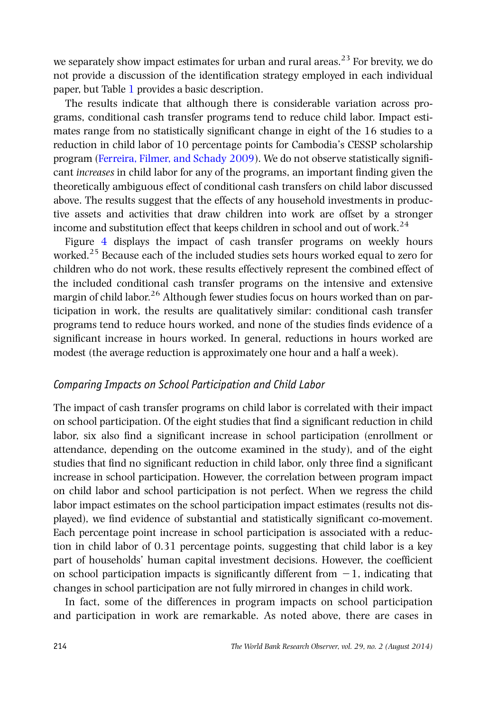we separately show impact estimates for urban and rural areas.<sup>23</sup> For brevity, we do not provide a discussion of the identification strategy employed in each individual paper, but Table [1](#page-6-0) provides a basic description.

The results indicate that although there is considerable variation across programs, conditional cash transfer programs tend to reduce child labor. Impact estimates range from no statistically significant change in eight of the 16 studies to a reduction in child labor of 10 percentage points for Cambodia's CESSP scholarship program ([Ferreira, Filmer, and Schady 2009\)](#page-31-0). We do not observe statistically significant increases in child labor for any of the programs, an important finding given the theoretically ambiguous effect of conditional cash transfers on child labor discussed above. The results suggest that the effects of any household investments in productive assets and activities that draw children into work are offset by a stronger income and substitution effect that keeps children in school and out of work.<sup>24</sup>

Figure [4](#page-13-0) displays the impact of cash transfer programs on weekly hours worked.<sup>25</sup> Because each of the included studies sets hours worked equal to zero for children who do not work, these results effectively represent the combined effect of the included conditional cash transfer programs on the intensive and extensive margin of child labor.<sup>26</sup> Although fewer studies focus on hours worked than on participation in work, the results are qualitatively similar: conditional cash transfer programs tend to reduce hours worked, and none of the studies finds evidence of a significant increase in hours worked. In general, reductions in hours worked are modest (the average reduction is approximately one hour and a half a week).

#### Comparing Impacts on School Participation and Child Labor

The impact of cash transfer programs on child labor is correlated with their impact on school participation. Of the eight studies that find a significant reduction in child labor, six also find a significant increase in school participation (enrollment or attendance, depending on the outcome examined in the study), and of the eight studies that find no significant reduction in child labor, only three find a significant increase in school participation. However, the correlation between program impact on child labor and school participation is not perfect. When we regress the child labor impact estimates on the school participation impact estimates (results not displayed), we find evidence of substantial and statistically significant co-movement. Each percentage point increase in school participation is associated with a reduction in child labor of 0.31 percentage points, suggesting that child labor is a key part of households' human capital investment decisions. However, the coefficient on school participation impacts is significantly different from  $-1$ , indicating that changes in school participation are not fully mirrored in changes in child work.

In fact, some of the differences in program impacts on school participation and participation in work are remarkable. As noted above, there are cases in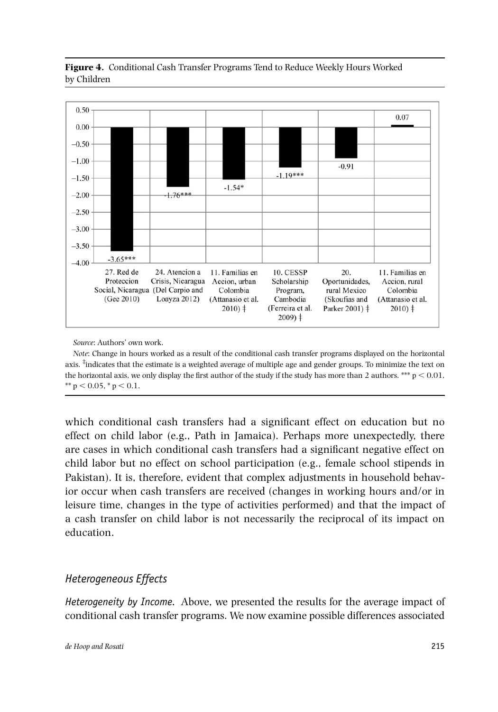

<span id="page-13-0"></span>Figure 4. Conditional Cash Transfer Programs Tend to Reduce Weekly Hours Worked by Children

Source: Authors' own work.

Note: Change in hours worked as a result of the conditional cash transfer programs displayed on the horizontal axis. <sup>‡</sup>indicates that the estimate is a weighted average of multiple age and gender groups. To minimize the text on the horizontal axis, we only display the first author of the study if the study has more than 2 authors. \*\*\*  $p < 0.01$ , \*\*  $p < 0.05$ , \*  $p < 0.1$ .

which conditional cash transfers had a significant effect on education but no effect on child labor (e.g., Path in Jamaica). Perhaps more unexpectedly, there are cases in which conditional cash transfers had a significant negative effect on child labor but no effect on school participation (e.g., female school stipends in Pakistan). It is, therefore, evident that complex adjustments in household behavior occur when cash transfers are received (changes in working hours and/or in leisure time, changes in the type of activities performed) and that the impact of a cash transfer on child labor is not necessarily the reciprocal of its impact on education.

# Heterogeneous Effects

Heterogeneity by Income. Above, we presented the results for the average impact of conditional cash transfer programs. We now examine possible differences associated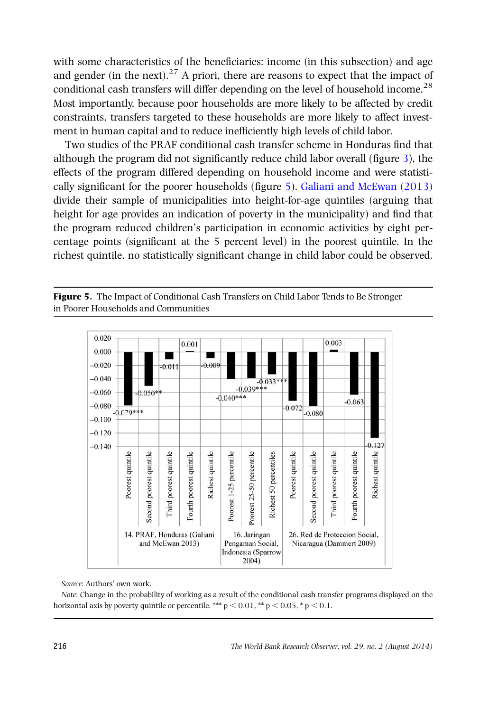<span id="page-14-0"></span>with some characteristics of the beneficiaries: income (in this subsection) and age and gender (in the next).<sup>27</sup> A priori, there are reasons to expect that the impact of conditional cash transfers will differ depending on the level of household income.<sup>28</sup> Most importantly, because poor households are more likely to be affected by credit constraints, transfers targeted to these households are more likely to affect investment in human capital and to reduce inefficiently high levels of child labor.

Two studies of the PRAF conditional cash transfer scheme in Honduras find that although the program did not significantly reduce child labor overall (figure [3\)](#page-11-0), the effects of the program differed depending on household income and were statistically significant for the poorer households (figure 5). [Galiani and McEwan \(2013\)](#page-31-0) divide their sample of municipalities into height-for-age quintiles (arguing that height for age provides an indication of poverty in the municipality) and find that the program reduced children's participation in economic activities by eight percentage points (significant at the 5 percent level) in the poorest quintile. In the richest quintile, no statistically significant change in child labor could be observed.





Source: Authors' own work.

Note: Change in the probability of working as a result of the conditional cash transfer programs displayed on the horizontal axis by poverty quintile or percentile. \*\*\*  $p < 0.01$ , \*\*  $p < 0.05$ , \*  $p < 0.1$ .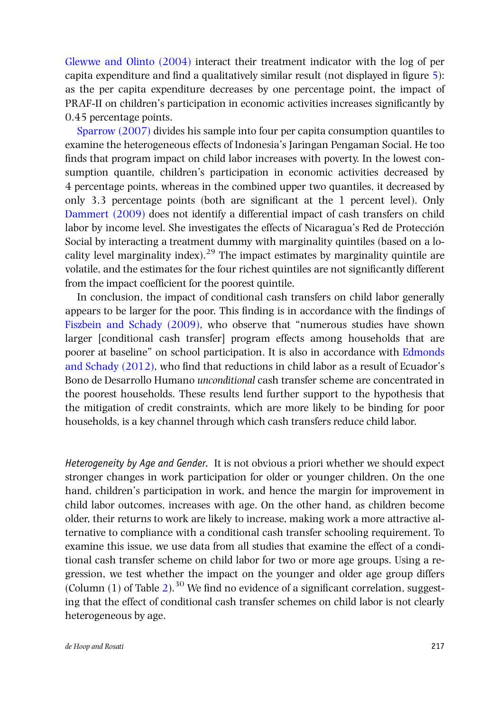[Glewwe and Olinto \(2004\)](#page-31-0) interact their treatment indicator with the log of per capita expenditure and find a qualitatively similar result (not displayed in figure [5\)](#page-14-0): as the per capita expenditure decreases by one percentage point, the impact of PRAF-II on children's participation in economic activities increases significantly by 0.45 percentage points.

[Sparrow \(2007\)](#page-32-0) divides his sample into four per capita consumption quantiles to examine the heterogeneous effects of Indonesia's Jaringan Pengaman Social. He too finds that program impact on child labor increases with poverty. In the lowest consumption quantile, children's participation in economic activities decreased by 4 percentage points, whereas in the combined upper two quantiles, it decreased by only 3.3 percentage points (both are significant at the 1 percent level). Only [Dammert \(2009\)](#page-30-0) does not identify a differential impact of cash transfers on child labor by income level. She investigates the effects of Nicaragua's Red de Protección Social by interacting a treatment dummy with marginality quintiles (based on a locality level marginality index).<sup>29</sup> The impact estimates by marginality quintile are volatile, and the estimates for the four richest quintiles are not significantly different from the impact coefficient for the poorest quintile.

In conclusion, the impact of conditional cash transfers on child labor generally appears to be larger for the poor. This finding is in accordance with the findings of [Fiszbein and Schady \(2009\)](#page-31-0), who observe that "numerous studies have shown larger [conditional cash transfer] program effects among households that are poorer at baseline" on school participation. It is also in accordance with [Edmonds](#page-31-0) [and Schady \(2012\)](#page-31-0), who find that reductions in child labor as a result of Ecuador's Bono de Desarrollo Humano unconditional cash transfer scheme are concentrated in the poorest households. These results lend further support to the hypothesis that the mitigation of credit constraints, which are more likely to be binding for poor households, is a key channel through which cash transfers reduce child labor.

Heterogeneity by Age and Gender. It is not obvious a priori whether we should expect stronger changes in work participation for older or younger children. On the one hand, children's participation in work, and hence the margin for improvement in child labor outcomes, increases with age. On the other hand, as children become older, their returns to work are likely to increase, making work a more attractive alternative to compliance with a conditional cash transfer schooling requirement. To examine this issue, we use data from all studies that examine the effect of a conditional cash transfer scheme on child labor for two or more age groups. Using a regression, we test whether the impact on the younger and older age group differs (Column  $(1)$  of Table [2](#page-16-0)).<sup>30</sup> We find no evidence of a significant correlation, suggesting that the effect of conditional cash transfer schemes on child labor is not clearly heterogeneous by age.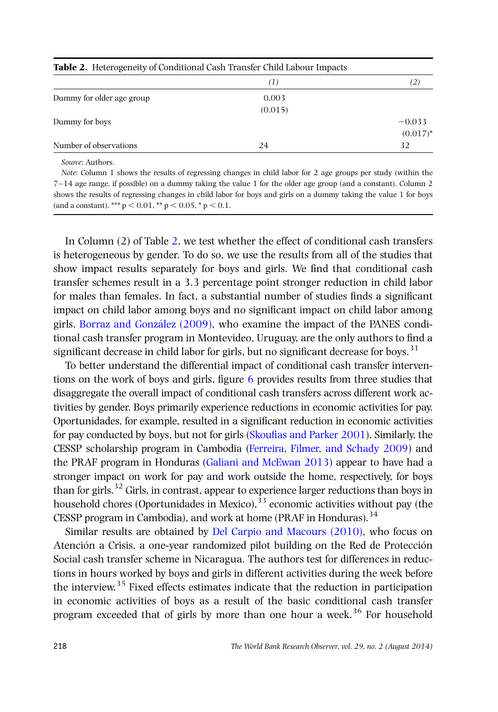| (1)     | $\left( 2\right)$                                                               |
|---------|---------------------------------------------------------------------------------|
| 0.003   |                                                                                 |
| (0.015) |                                                                                 |
|         | $-0.033$                                                                        |
|         | $(0.017)^*$                                                                     |
| 24      | 32                                                                              |
|         | <b>Table 2.</b> Heterogeneity of Conditional Cash Transfer Child Labour Impacts |

#### <span id="page-16-0"></span>Table 2. Heterogeneity of Conditional Cash Transfer Child Labour Impacts

Source: Authors.

Note: Column 1 shows the results of regressing changes in child labor for 2 age groups per study (within the 7–14 age range, if possible) on a dummy taking the value 1 for the older age group (and a constant). Column 2 shows the results of regressing changes in child labor for boys and girls on a dummy taking the value 1 for boys (and a constant). \*\*\*  $p < 0.01$ , \*\*  $p < 0.05$ , \*  $p < 0.1$ .

In Column (2) of Table 2, we test whether the effect of conditional cash transfers is heterogeneous by gender. To do so, we use the results from all of the studies that show impact results separately for boys and girls. We find that conditional cash transfer schemes result in a 3.3 percentage point stronger reduction in child labor for males than females. In fact, a substantial number of studies finds a significant impact on child labor among boys and no significant impact on child labor among girls. Borraz and González (2009), who examine the impact of the PANES conditional cash transfer program in Montevideo, Uruguay, are the only authors to find a significant decrease in child labor for girls, but no significant decrease for boys.<sup>31</sup>

To better understand the differential impact of conditional cash transfer interventions on the work of boys and girls, figure [6](#page-17-0) provides results from three studies that disaggregate the overall impact of conditional cash transfers across different work activities by gender. Boys primarily experience reductions in economic activities for pay. Oportunidades, for example, resulted in a significant reduction in economic activities for pay conducted by boys, but not for girls ([Skoufias and Parker 2001](#page-32-0)). Similarly, the CESSP scholarship program in Cambodia [\(Ferreira, Filmer, and Schady 2009](#page-31-0)) and the PRAF program in Honduras ([Galiani and McEwan 2013](#page-31-0)) appear to have had a stronger impact on work for pay and work outside the home, respectively, for boys than for girls.<sup>32</sup> Girls, in contrast, appear to experience larger reductions than boys in household chores (Oportunidades in Mexico), $33$  economic activities without pay (the CESSP program in Cambodia), and work at home (PRAF in Honduras).<sup>34</sup>

Similar results are obtained by [Del Carpio and Macours \(2010\)](#page-30-0), who focus on Atención a Crisis, a one-year randomized pilot building on the Red de Protección Social cash transfer scheme in Nicaragua. The authors test for differences in reductions in hours worked by boys and girls in different activities during the week before the interview.35 Fixed effects estimates indicate that the reduction in participation in economic activities of boys as a result of the basic conditional cash transfer program exceeded that of girls by more than one hour a week.<sup>36</sup> For household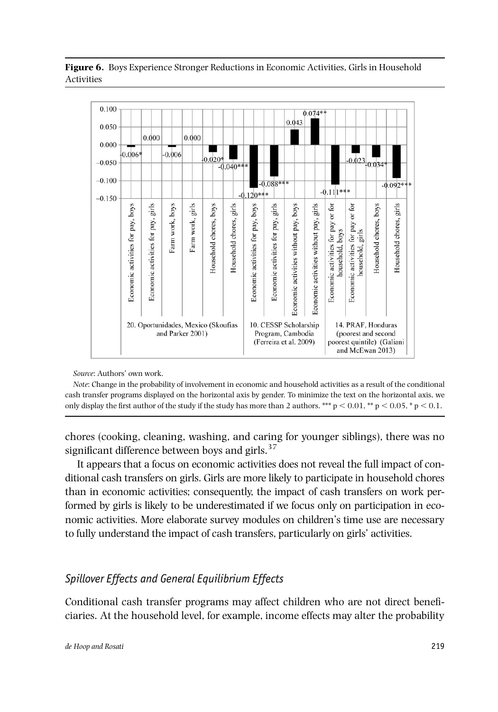

#### <span id="page-17-0"></span>Figure 6. Boys Experience Stronger Reductions in Economic Activities, Girls in Household Activities

Source: Authors' own work.

Note: Change in the probability of involvement in economic and household activities as a result of the conditional cash transfer programs displayed on the horizontal axis by gender. To minimize the text on the horizontal axis, we only display the first author of the study if the study has more than 2 authors. \*\*\*  $p < 0.01$ , \*\*  $p < 0.05$ , \*  $p < 0.1$ .

chores (cooking, cleaning, washing, and caring for younger siblings), there was no significant difference between boys and girls.<sup>37</sup>

It appears that a focus on economic activities does not reveal the full impact of conditional cash transfers on girls. Girls are more likely to participate in household chores than in economic activities; consequently, the impact of cash transfers on work performed by girls is likely to be underestimated if we focus only on participation in economic activities. More elaborate survey modules on children's time use are necessary to fully understand the impact of cash transfers, particularly on girls' activities.

# Spillover Effects and General Equilibrium Effects

Conditional cash transfer programs may affect children who are not direct beneficiaries. At the household level, for example, income effects may alter the probability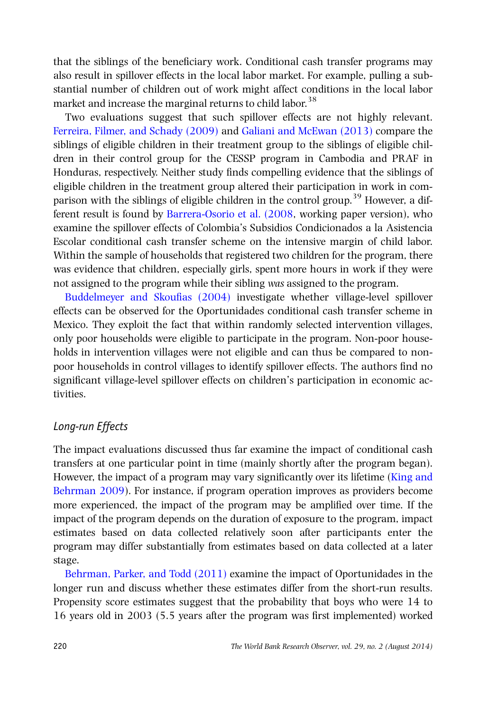that the siblings of the beneficiary work. Conditional cash transfer programs may also result in spillover effects in the local labor market. For example, pulling a substantial number of children out of work might affect conditions in the local labor market and increase the marginal returns to child labor.<sup>38</sup>

Two evaluations suggest that such spillover effects are not highly relevant. [Ferreira, Filmer, and Schady \(2009\)](#page-31-0) and [Galiani and McEwan \(2013\)](#page-31-0) compare the siblings of eligible children in their treatment group to the siblings of eligible children in their control group for the CESSP program in Cambodia and PRAF in Honduras, respectively. Neither study finds compelling evidence that the siblings of eligible children in the treatment group altered their participation in work in comparison with the siblings of eligible children in the control group.<sup>39</sup> However, a different result is found by [Barrera-Osorio et al. \(2008,](#page-29-0) working paper version), who examine the spillover effects of Colombia's Subsidios Condicionados a la Asistencia Escolar conditional cash transfer scheme on the intensive margin of child labor. Within the sample of households that registered two children for the program, there was evidence that children, especially girls, spent more hours in work if they were not assigned to the program while their sibling was assigned to the program.

[Buddelmeyer and Skoufias \(2004\)](#page-30-0) investigate whether village-level spillover effects can be observed for the Oportunidades conditional cash transfer scheme in Mexico. They exploit the fact that within randomly selected intervention villages, only poor households were eligible to participate in the program. Non-poor households in intervention villages were not eligible and can thus be compared to nonpoor households in control villages to identify spillover effects. The authors find no significant village-level spillover effects on children's participation in economic activities.

### Long-run Effects

The impact evaluations discussed thus far examine the impact of conditional cash transfers at one particular point in time (mainly shortly after the program began). However, the impact of a program may vary significantly over its lifetime ([King and](#page-31-0) [Behrman 2009](#page-31-0)). For instance, if program operation improves as providers become more experienced, the impact of the program may be amplified over time. If the impact of the program depends on the duration of exposure to the program, impact estimates based on data collected relatively soon after participants enter the program may differ substantially from estimates based on data collected at a later stage.

[Behrman, Parker, and Todd \(2011\)](#page-29-0) examine the impact of Oportunidades in the longer run and discuss whether these estimates differ from the short-run results. Propensity score estimates suggest that the probability that boys who were 14 to 16 years old in 2003 (5.5 years after the program was first implemented) worked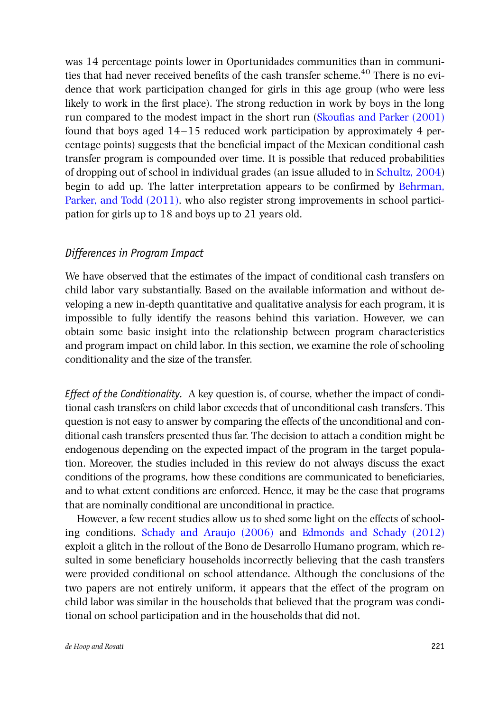was 14 percentage points lower in Oportunidades communities than in communities that had never received benefits of the cash transfer scheme.<sup>40</sup> There is no evidence that work participation changed for girls in this age group (who were less likely to work in the first place). The strong reduction in work by boys in the long run compared to the modest impact in the short run ([Skoufias and Parker \(2001\)](#page-32-0) found that boys aged  $14-15$  reduced work participation by approximately 4 percentage points) suggests that the beneficial impact of the Mexican conditional cash transfer program is compounded over time. It is possible that reduced probabilities of dropping out of school in individual grades (an issue alluded to in [Schultz, 2004](#page-32-0)) begin to add up. The latter interpretation appears to be confirmed by [Behrman,](#page-29-0) [Parker, and Todd \(2011\),](#page-29-0) who also register strong improvements in school participation for girls up to 18 and boys up to 21 years old.

#### Differences in Program Impact

We have observed that the estimates of the impact of conditional cash transfers on child labor vary substantially. Based on the available information and without developing a new in-depth quantitative and qualitative analysis for each program, it is impossible to fully identify the reasons behind this variation. However, we can obtain some basic insight into the relationship between program characteristics and program impact on child labor. In this section, we examine the role of schooling conditionality and the size of the transfer.

Effect of the Conditionality. A key question is, of course, whether the impact of conditional cash transfers on child labor exceeds that of unconditional cash transfers. This question is not easy to answer by comparing the effects of the unconditional and conditional cash transfers presented thus far. The decision to attach a condition might be endogenous depending on the expected impact of the program in the target population. Moreover, the studies included in this review do not always discuss the exact conditions of the programs, how these conditions are communicated to beneficiaries, and to what extent conditions are enforced. Hence, it may be the case that programs that are nominally conditional are unconditional in practice.

However, a few recent studies allow us to shed some light on the effects of schooling conditions. [Schady and Araujo \(2006\)](#page-32-0) and [Edmonds and Schady \(2012\)](#page-31-0) exploit a glitch in the rollout of the Bono de Desarrollo Humano program, which resulted in some beneficiary households incorrectly believing that the cash transfers were provided conditional on school attendance. Although the conclusions of the two papers are not entirely uniform, it appears that the effect of the program on child labor was similar in the households that believed that the program was conditional on school participation and in the households that did not.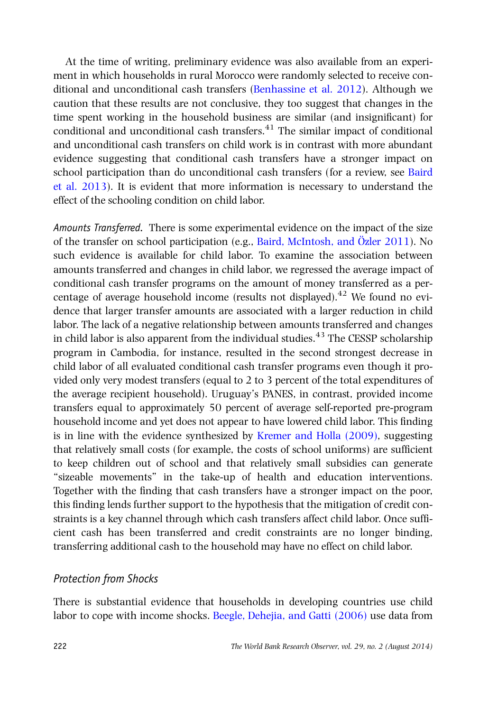At the time of writing, preliminary evidence was also available from an experiment in which households in rural Morocco were randomly selected to receive conditional and unconditional cash transfers ([Benhassine et al. 2012](#page-29-0)). Although we caution that these results are not conclusive, they too suggest that changes in the time spent working in the household business are similar (and insignificant) for conditional and unconditional cash transfers. $41$  The similar impact of conditional and unconditional cash transfers on child work is in contrast with more abundant evidence suggesting that conditional cash transfers have a stronger impact on school participation than do unconditional cash transfers (for a review, see [Baird](#page-29-0) [et al. 2013](#page-29-0)). It is evident that more information is necessary to understand the effect of the schooling condition on child labor.

Amounts Transferred. There is some experimental evidence on the impact of the size of the transfer on school participation (e.g., Baird, McIntosh, and Özler  $2011$ ). No such evidence is available for child labor. To examine the association between amounts transferred and changes in child labor, we regressed the average impact of conditional cash transfer programs on the amount of money transferred as a percentage of average household income (results not displayed). $42$  We found no evidence that larger transfer amounts are associated with a larger reduction in child labor. The lack of a negative relationship between amounts transferred and changes in child labor is also apparent from the individual studies.<sup>43</sup> The CESSP scholarship program in Cambodia, for instance, resulted in the second strongest decrease in child labor of all evaluated conditional cash transfer programs even though it provided only very modest transfers (equal to 2 to 3 percent of the total expenditures of the average recipient household). Uruguay's PANES, in contrast, provided income transfers equal to approximately 50 percent of average self-reported pre-program household income and yet does not appear to have lowered child labor. This finding is in line with the evidence synthesized by [Kremer and Holla \(2009\),](#page-31-0) suggesting that relatively small costs (for example, the costs of school uniforms) are sufficient to keep children out of school and that relatively small subsidies can generate "sizeable movements" in the take-up of health and education interventions. Together with the finding that cash transfers have a stronger impact on the poor, this finding lends further support to the hypothesis that the mitigation of credit constraints is a key channel through which cash transfers affect child labor. Once sufficient cash has been transferred and credit constraints are no longer binding, transferring additional cash to the household may have no effect on child labor.

### Protection from Shocks

There is substantial evidence that households in developing countries use child labor to cope with income shocks. [Beegle, Dehejia, and Gatti \(2006\)](#page-29-0) use data from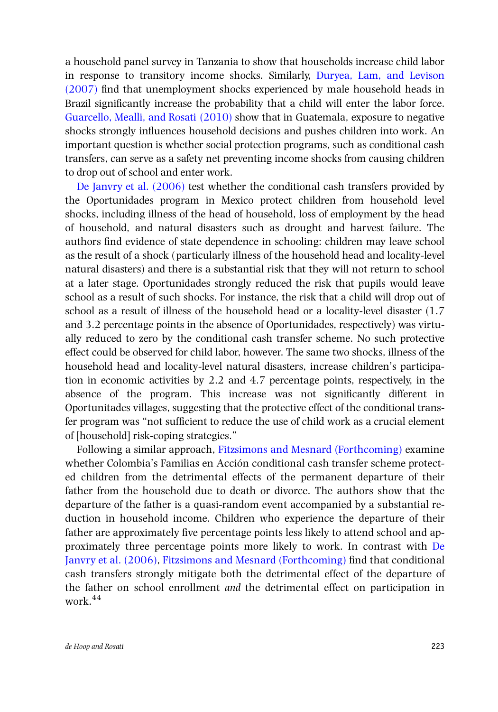a household panel survey in Tanzania to show that households increase child labor in response to transitory income shocks. Similarly, [Duryea, Lam, and Levison](#page-30-0) [\(2007\)](#page-30-0) find that unemployment shocks experienced by male household heads in Brazil significantly increase the probability that a child will enter the labor force. [Guarcello, Mealli, and Rosati \(2010\)](#page-31-0) show that in Guatemala, exposure to negative shocks strongly influences household decisions and pushes children into work. An important question is whether social protection programs, such as conditional cash transfers, can serve as a safety net preventing income shocks from causing children to drop out of school and enter work.

[De Janvry et al. \(2006\)](#page-30-0) test whether the conditional cash transfers provided by the Oportunidades program in Mexico protect children from household level shocks, including illness of the head of household, loss of employment by the head of household, and natural disasters such as drought and harvest failure. The authors find evidence of state dependence in schooling: children may leave school as the result of a shock (particularly illness of the household head and locality-level natural disasters) and there is a substantial risk that they will not return to school at a later stage. Oportunidades strongly reduced the risk that pupils would leave school as a result of such shocks. For instance, the risk that a child will drop out of school as a result of illness of the household head or a locality-level disaster (1.7 and 3.2 percentage points in the absence of Oportunidades, respectively) was virtually reduced to zero by the conditional cash transfer scheme. No such protective effect could be observed for child labor, however. The same two shocks, illness of the household head and locality-level natural disasters, increase children's participation in economic activities by 2.2 and 4.7 percentage points, respectively, in the absence of the program. This increase was not significantly different in Oportunitades villages, suggesting that the protective effect of the conditional transfer program was "not sufficient to reduce the use of child work as a crucial element of [household] risk-coping strategies."

Following a similar approach, [Fitzsimons and Mesnard \(Forthcoming\)](#page-31-0) examine whether Colombia's Familias en Acción conditional cash transfer scheme protected children from the detrimental effects of the permanent departure of their father from the household due to death or divorce. The authors show that the departure of the father is a quasi-random event accompanied by a substantial reduction in household income. Children who experience the departure of their father are approximately five percentage points less likely to attend school and approximately three percentage points more likely to work. In contrast with [De](#page-30-0) [Janvry et al. \(2006\)](#page-30-0), [Fitzsimons and Mesnard \(Forthcoming\)](#page-31-0) find that conditional cash transfers strongly mitigate both the detrimental effect of the departure of the father on school enrollment and the detrimental effect on participation in work.<sup>44</sup>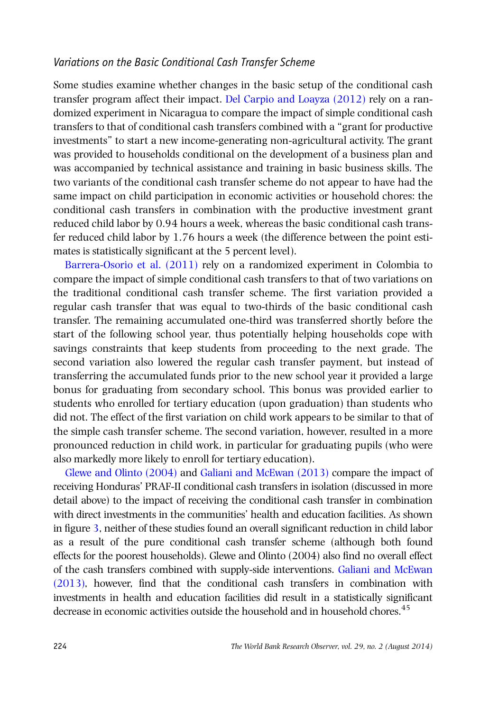#### Variations on the Basic Conditional Cash Transfer Scheme

Some studies examine whether changes in the basic setup of the conditional cash transfer program affect their impact. [Del Carpio and Loayza \(2012\)](#page-30-0) rely on a randomized experiment in Nicaragua to compare the impact of simple conditional cash transfers to that of conditional cash transfers combined with a "grant for productive investments" to start a new income-generating non-agricultural activity. The grant was provided to households conditional on the development of a business plan and was accompanied by technical assistance and training in basic business skills. The two variants of the conditional cash transfer scheme do not appear to have had the same impact on child participation in economic activities or household chores: the conditional cash transfers in combination with the productive investment grant reduced child labor by 0.94 hours a week, whereas the basic conditional cash transfer reduced child labor by 1.76 hours a week (the difference between the point estimates is statistically significant at the 5 percent level).

[Barrera-Osorio et al. \(2011\)](#page-29-0) rely on a randomized experiment in Colombia to compare the impact of simple conditional cash transfers to that of two variations on the traditional conditional cash transfer scheme. The first variation provided a regular cash transfer that was equal to two-thirds of the basic conditional cash transfer. The remaining accumulated one-third was transferred shortly before the start of the following school year, thus potentially helping households cope with savings constraints that keep students from proceeding to the next grade. The second variation also lowered the regular cash transfer payment, but instead of transferring the accumulated funds prior to the new school year it provided a large bonus for graduating from secondary school. This bonus was provided earlier to students who enrolled for tertiary education (upon graduation) than students who did not. The effect of the first variation on child work appears to be similar to that of the simple cash transfer scheme. The second variation, however, resulted in a more pronounced reduction in child work, in particular for graduating pupils (who were also markedly more likely to enroll for tertiary education).

[Glewe and Olinto \(2004\)](#page-31-0) and [Galiani and McEwan \(2013\)](#page-31-0) compare the impact of receiving Honduras' PRAF-II conditional cash transfers in isolation (discussed in more detail above) to the impact of receiving the conditional cash transfer in combination with direct investments in the communities' health and education facilities. As shown in figure [3](#page-11-0), neither of these studies found an overall significant reduction in child labor as a result of the pure conditional cash transfer scheme (although both found effects for the poorest households). Glewe and Olinto (2004) also find no overall effect of the cash transfers combined with supply-side interventions. [Galiani and McEwan](#page-31-0) [\(2013\),](#page-31-0) however, find that the conditional cash transfers in combination with investments in health and education facilities did result in a statistically significant decrease in economic activities outside the household and in household chores.<sup>45</sup>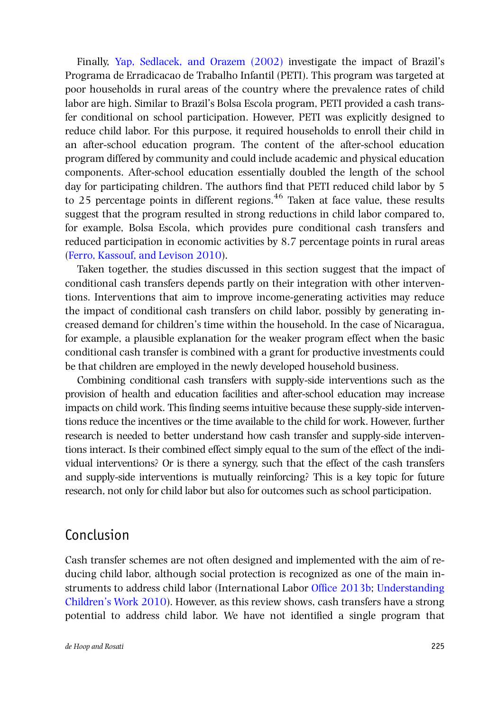Finally, [Yap, Sedlacek, and Orazem \(2002\)](#page-32-0) investigate the impact of Brazil's Programa de Erradicacao de Trabalho Infantil (PETI). This program was targeted at poor households in rural areas of the country where the prevalence rates of child labor are high. Similar to Brazil's Bolsa Escola program, PETI provided a cash transfer conditional on school participation. However, PETI was explicitly designed to reduce child labor. For this purpose, it required households to enroll their child in an after-school education program. The content of the after-school education program differed by community and could include academic and physical education components. After-school education essentially doubled the length of the school day for participating children. The authors find that PETI reduced child labor by 5 to 25 percentage points in different regions. $46$  Taken at face value, these results suggest that the program resulted in strong reductions in child labor compared to, for example, Bolsa Escola, which provides pure conditional cash transfers and reduced participation in economic activities by 8.7 percentage points in rural areas ([Ferro, Kassouf, and Levison 2010](#page-31-0)).

Taken together, the studies discussed in this section suggest that the impact of conditional cash transfers depends partly on their integration with other interventions. Interventions that aim to improve income-generating activities may reduce the impact of conditional cash transfers on child labor, possibly by generating increased demand for children's time within the household. In the case of Nicaragua, for example, a plausible explanation for the weaker program effect when the basic conditional cash transfer is combined with a grant for productive investments could be that children are employed in the newly developed household business.

Combining conditional cash transfers with supply-side interventions such as the provision of health and education facilities and after-school education may increase impacts on child work. This finding seems intuitive because these supply-side interventions reduce the incentives or the time available to the child for work. However, further research is needed to better understand how cash transfer and supply-side interventions interact. Is their combined effect simply equal to the sum of the effect of the individual interventions? Or is there a synergy, such that the effect of the cash transfers and supply-side interventions is mutually reinforcing? This is a key topic for future research, not only for child labor but also for outcomes such as school participation.

# Conclusion

Cash transfer schemes are not often designed and implemented with the aim of reducing child labor, although social protection is recognized as one of the main instruments to address child labor (International Labor [Office 2013b;](#page-31-0) [Understanding](#page-32-0) [Children's Work 2010](#page-32-0)). However, as this review shows, cash transfers have a strong potential to address child labor. We have not identified a single program that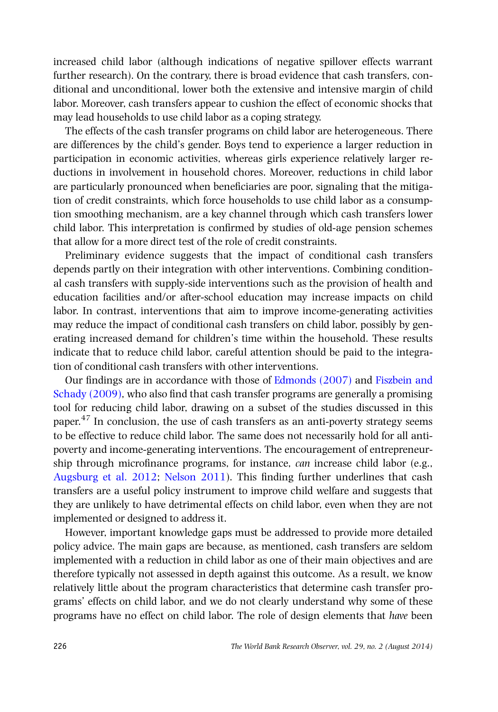increased child labor (although indications of negative spillover effects warrant further research). On the contrary, there is broad evidence that cash transfers, conditional and unconditional, lower both the extensive and intensive margin of child labor. Moreover, cash transfers appear to cushion the effect of economic shocks that may lead households to use child labor as a coping strategy.

The effects of the cash transfer programs on child labor are heterogeneous. There are differences by the child's gender. Boys tend to experience a larger reduction in participation in economic activities, whereas girls experience relatively larger reductions in involvement in household chores. Moreover, reductions in child labor are particularly pronounced when beneficiaries are poor, signaling that the mitigation of credit constraints, which force households to use child labor as a consumption smoothing mechanism, are a key channel through which cash transfers lower child labor. This interpretation is confirmed by studies of old-age pension schemes that allow for a more direct test of the role of credit constraints.

Preliminary evidence suggests that the impact of conditional cash transfers depends partly on their integration with other interventions. Combining conditional cash transfers with supply-side interventions such as the provision of health and education facilities and/or after-school education may increase impacts on child labor. In contrast, interventions that aim to improve income-generating activities may reduce the impact of conditional cash transfers on child labor, possibly by generating increased demand for children's time within the household. These results indicate that to reduce child labor, careful attention should be paid to the integration of conditional cash transfers with other interventions.

Our findings are in accordance with those of [Edmonds \(2007\)](#page-30-0) and [Fiszbein and](#page-31-0) [Schady \(2009\)](#page-31-0), who also find that cash transfer programs are generally a promising tool for reducing child labor, drawing on a subset of the studies discussed in this paper. $47$  In conclusion, the use of cash transfers as an anti-poverty strategy seems to be effective to reduce child labor. The same does not necessarily hold for all antipoverty and income-generating interventions. The encouragement of entrepreneurship through microfinance programs, for instance, *can* increase child labor (e.g., [Augsburg et al. 2012](#page-29-0); [Nelson 2011\)](#page-31-0). This finding further underlines that cash transfers are a useful policy instrument to improve child welfare and suggests that they are unlikely to have detrimental effects on child labor, even when they are not implemented or designed to address it.

However, important knowledge gaps must be addressed to provide more detailed policy advice. The main gaps are because, as mentioned, cash transfers are seldom implemented with a reduction in child labor as one of their main objectives and are therefore typically not assessed in depth against this outcome. As a result, we know relatively little about the program characteristics that determine cash transfer programs' effects on child labor, and we do not clearly understand why some of these programs have no effect on child labor. The role of design elements that have been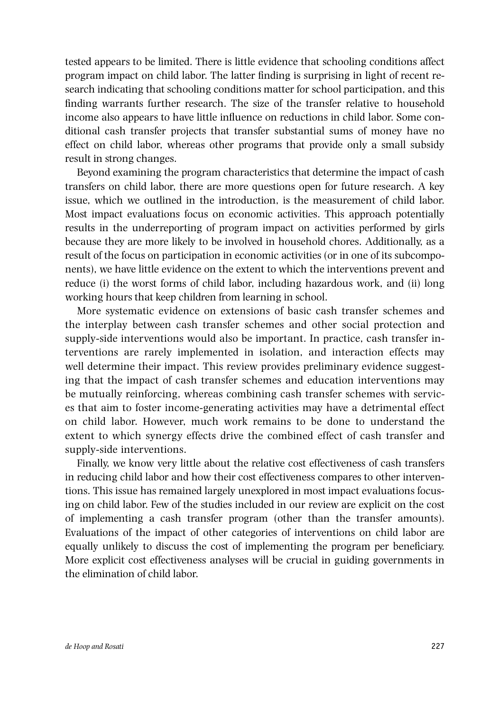tested appears to be limited. There is little evidence that schooling conditions affect program impact on child labor. The latter finding is surprising in light of recent research indicating that schooling conditions matter for school participation, and this finding warrants further research. The size of the transfer relative to household income also appears to have little influence on reductions in child labor. Some conditional cash transfer projects that transfer substantial sums of money have no effect on child labor, whereas other programs that provide only a small subsidy result in strong changes.

Beyond examining the program characteristics that determine the impact of cash transfers on child labor, there are more questions open for future research. A key issue, which we outlined in the introduction, is the measurement of child labor. Most impact evaluations focus on economic activities. This approach potentially results in the underreporting of program impact on activities performed by girls because they are more likely to be involved in household chores. Additionally, as a result of the focus on participation in economic activities (or in one of its subcomponents), we have little evidence on the extent to which the interventions prevent and reduce (i) the worst forms of child labor, including hazardous work, and (ii) long working hours that keep children from learning in school.

More systematic evidence on extensions of basic cash transfer schemes and the interplay between cash transfer schemes and other social protection and supply-side interventions would also be important. In practice, cash transfer interventions are rarely implemented in isolation, and interaction effects may well determine their impact. This review provides preliminary evidence suggesting that the impact of cash transfer schemes and education interventions may be mutually reinforcing, whereas combining cash transfer schemes with services that aim to foster income-generating activities may have a detrimental effect on child labor. However, much work remains to be done to understand the extent to which synergy effects drive the combined effect of cash transfer and supply-side interventions.

Finally, we know very little about the relative cost effectiveness of cash transfers in reducing child labor and how their cost effectiveness compares to other interventions. This issue has remained largely unexplored in most impact evaluations focusing on child labor. Few of the studies included in our review are explicit on the cost of implementing a cash transfer program (other than the transfer amounts). Evaluations of the impact of other categories of interventions on child labor are equally unlikely to discuss the cost of implementing the program per beneficiary. More explicit cost effectiveness analyses will be crucial in guiding governments in the elimination of child labor.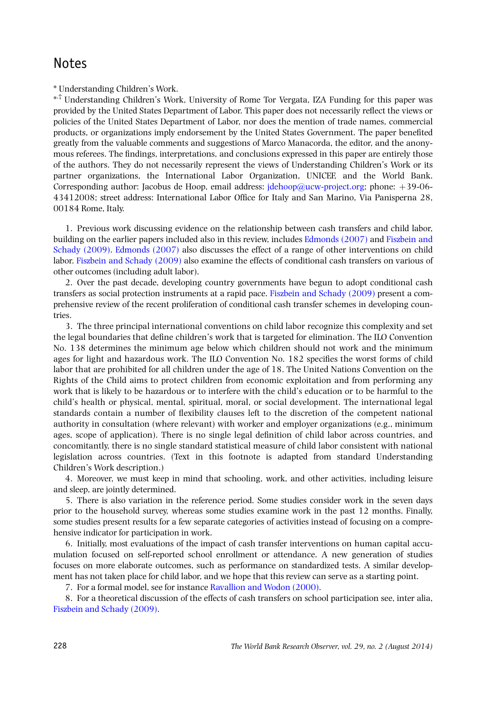# Notes

\* Understanding Children's Work.

\*\*<sup>†</sup> Understanding Children's Work, University of Rome Tor Vergata, IZA Funding for this paper was provided by the United States Department of Labor. This paper does not necessarily reflect the views or policies of the United States Department of Labor, nor does the mention of trade names, commercial products, or organizations imply endorsement by the United States Government. The paper benefited greatly from the valuable comments and suggestions of Marco Manacorda, the editor, and the anonymous referees. The findings, interpretations, and conclusions expressed in this paper are entirely those of the authors. They do not necessarily represent the views of Understanding Children's Work or its partner organizations, the International Labor Organization, UNICEF, and the World Bank. Corresponding author: Jacobus de Hoop, email address: [jdehoop@ucw-project.org;](mailto:jdehoop@ucw-project.org) phone:  $+39-06-$ 43412008; street address: International Labor Office for Italy and San Marino, Via Panisperna 28, 00184 Rome, Italy.

1. Previous work discussing evidence on the relationship between cash transfers and child labor, building on the earlier papers included also in this review, includes [Edmonds \(2007\)](#page-30-0) and [Fiszbein and](#page-31-0) [Schady \(2009\).](#page-31-0) [Edmonds \(2007\)](#page-30-0) also discusses the effect of a range of other interventions on child labor. [Fiszbein and Schady \(2009\)](#page-31-0) also examine the effects of conditional cash transfers on various of other outcomes (including adult labor).

2. Over the past decade, developing country governments have begun to adopt conditional cash transfers as social protection instruments at a rapid pace. [Fiszbein and Schady \(2009\)](#page-31-0) present a comprehensive review of the recent proliferation of conditional cash transfer schemes in developing countries.

3. The three principal international conventions on child labor recognize this complexity and set the legal boundaries that define children's work that is targeted for elimination. The ILO Convention No. 138 determines the minimum age below which children should not work and the minimum ages for light and hazardous work. The ILO Convention No. 182 specifies the worst forms of child labor that are prohibited for all children under the age of 18. The United Nations Convention on the Rights of the Child aims to protect children from economic exploitation and from performing any work that is likely to be hazardous or to interfere with the child's education or to be harmful to the child's health or physical, mental, spiritual, moral, or social development. The international legal standards contain a number of flexibility clauses left to the discretion of the competent national authority in consultation (where relevant) with worker and employer organizations (e.g., minimum ages, scope of application). There is no single legal definition of child labor across countries, and concomitantly, there is no single standard statistical measure of child labor consistent with national legislation across countries. (Text in this footnote is adapted from standard Understanding Children's Work description.)

4. Moreover, we must keep in mind that schooling, work, and other activities, including leisure and sleep, are jointly determined.

5. There is also variation in the reference period. Some studies consider work in the seven days prior to the household survey, whereas some studies examine work in the past 12 months. Finally, some studies present results for a few separate categories of activities instead of focusing on a comprehensive indicator for participation in work.

6. Initially, most evaluations of the impact of cash transfer interventions on human capital accumulation focused on self-reported school enrollment or attendance. A new generation of studies focuses on more elaborate outcomes, such as performance on standardized tests. A similar development has not taken place for child labor, and we hope that this review can serve as a starting point.

7. For a formal model, see for instance [Ravallion and Wodon \(2000\).](#page-32-0)

8. For a theoretical discussion of the effects of cash transfers on school participation see, inter alia, [Fiszbein and Schady \(2009\)](#page-31-0).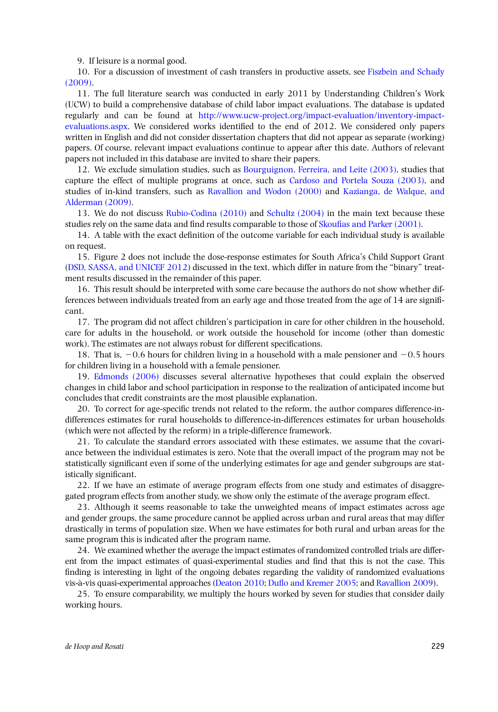9. If leisure is a normal good.

10. For a discussion of investment of cash transfers in productive assets, see [Fiszbein and Schady](#page-31-0) [\(2009\).](#page-31-0)

11. The full literature search was conducted in early 2011 by Understanding Children's Work (UCW) to build a comprehensive database of child labor impact evaluations. The database is updated regularly and can be found at [http://www.ucw-project.org/impact-evaluation/inventory-impact](http://www.ucw-project.org/impact-evaluation/inventory-impact-evaluations.aspx)[evaluations.aspx](http://www.ucw-project.org/impact-evaluation/inventory-impact-evaluations.aspx). We considered works identified to the end of 2012. We considered only papers written in English and did not consider dissertation chapters that did not appear as separate (working) papers. Of course, relevant impact evaluations continue to appear after this date. Authors of relevant papers not included in this database are invited to share their papers.

12. We exclude simulation studies, such as [Bourguignon, Ferreira, and Leite \(2003\)](#page-30-0), studies that capture the effect of multiple programs at once, such as [Cardoso and Portela Souza \(2003\)](#page-30-0), and studies of in-kind transfers, such as [Ravallion and Wodon \(2000\)](#page-32-0) and [Kazianga, de Walque, and](#page-31-0) [Alderman \(2009\)](#page-31-0).

13. We do not discuss [Rubio-Codina \(2010\)](#page-32-0) and [Schultz \(2004\)](#page-32-0) in the main text because these studies rely on the same data and find results comparable to those of [Skoufias and Parker \(2001\).](#page-32-0)

14. A table with the exact definition of the outcome variable for each individual study is available on request.

15. Figure 2 does not include the dose-response estimates for South Africa's Child Support Grant ([DSD, SASSA, and UNICEF 2012\)](#page-30-0) discussed in the text, which differ in nature from the "binary" treatment results discussed in the remainder of this paper.

16. This result should be interpreted with some care because the authors do not show whether differences between individuals treated from an early age and those treated from the age of 14 are significant.

17. The program did not affect children's participation in care for other children in the household, care for adults in the household, or work outside the household for income (other than domestic work). The estimates are not always robust for different specifications.

18. That is,  $-0.6$  hours for children living in a household with a male pensioner and  $-0.5$  hours for children living in a household with a female pensioner.

19. [Edmonds \(2006\)](#page-30-0) discusses several alternative hypotheses that could explain the observed changes in child labor and school participation in response to the realization of anticipated income but concludes that credit constraints are the most plausible explanation.

20. To correct for age-specific trends not related to the reform, the author compares difference-indifferences estimates for rural households to difference-in-differences estimates for urban households (which were not affected by the reform) in a triple-difference framework.

21. To calculate the standard errors associated with these estimates, we assume that the covariance between the individual estimates is zero. Note that the overall impact of the program may not be statistically significant even if some of the underlying estimates for age and gender subgroups are statistically significant.

22. If we have an estimate of average program effects from one study and estimates of disaggregated program effects from another study, we show only the estimate of the average program effect.

23. Although it seems reasonable to take the unweighted means of impact estimates across age and gender groups, the same procedure cannot be applied across urban and rural areas that may differ drastically in terms of population size. When we have estimates for both rural and urban areas for the same program this is indicated after the program name.

24. We examined whether the average the impact estimates of randomized controlled trials are different from the impact estimates of quasi-experimental studies and find that this is not the case. This finding is interesting in light of the ongoing debates regarding the validity of randomized evaluations vis-a`-vis quasi-experimental approaches [\(Deaton 2010](#page-30-0); [Duflo and Kremer 2005](#page-30-0); and [Ravallion 2009](#page-32-0)).

25. To ensure comparability, we multiply the hours worked by seven for studies that consider daily working hours.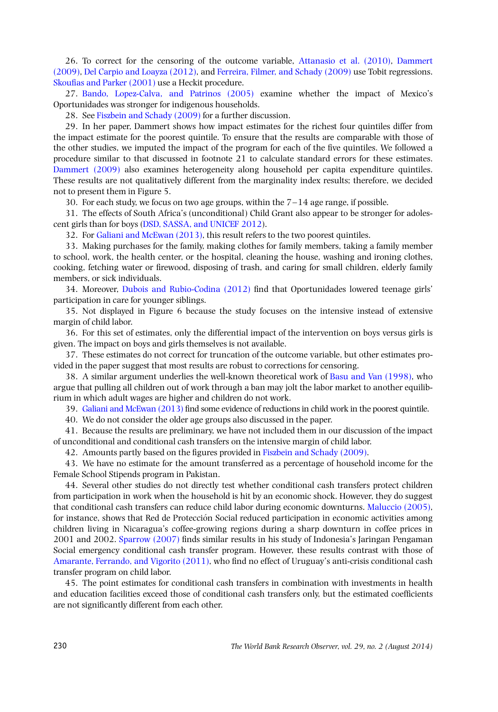26. To correct for the censoring of the outcome variable, [Attanasio et al. \(2010\)](#page-29-0), [Dammert](#page-30-0) [\(2009\),](#page-30-0) [Del Carpio and Loayza \(2012\),](#page-30-0) and [Ferreira, Filmer, and Schady \(2009\)](#page-31-0) use Tobit regressions. [Skoufias and Parker \(2001\)](#page-32-0) use a Heckit procedure.

27. [Bando, Lopez-Calva, and Patrinos \(2005\)](#page-29-0) examine whether the impact of Mexico's Oportunidades was stronger for indigenous households.

28. See [Fiszbein and Schady \(2009\)](#page-31-0) for a further discussion.

29. In her paper, Dammert shows how impact estimates for the richest four quintiles differ from the impact estimate for the poorest quintile. To ensure that the results are comparable with those of the other studies, we imputed the impact of the program for each of the five quintiles. We followed a procedure similar to that discussed in footnote 21 to calculate standard errors for these estimates. [Dammert \(2009\)](#page-30-0) also examines heterogeneity along household per capita expenditure quintiles. These results are not qualitatively different from the marginality index results; therefore, we decided not to present them in Figure 5.

30. For each study, we focus on two age groups, within the  $7-14$  age range, if possible.

31. The effects of South Africa's (unconditional) Child Grant also appear to be stronger for adolescent girls than for boys ([DSD, SASSA, and UNICEF 2012](#page-30-0)).

32. For [Galiani and McEwan \(2013\),](#page-31-0) this result refers to the two poorest quintiles.

33. Making purchases for the family, making clothes for family members, taking a family member to school, work, the health center, or the hospital, cleaning the house, washing and ironing clothes, cooking, fetching water or firewood, disposing of trash, and caring for small children, elderly family members, or sick individuals.

34. Moreover, [Dubois and Rubio-Codina \(2012\)](#page-30-0) find that Oportunidades lowered teenage girls' participation in care for younger siblings.

35. Not displayed in Figure 6 because the study focuses on the intensive instead of extensive margin of child labor.

36. For this set of estimates, only the differential impact of the intervention on boys versus girls is given. The impact on boys and girls themselves is not available.

37. These estimates do not correct for truncation of the outcome variable, but other estimates provided in the paper suggest that most results are robust to corrections for censoring.

38. A similar argument underlies the well-known theoretical work of [Basu and Van \(1998\)](#page-29-0), who argue that pulling all children out of work through a ban may jolt the labor market to another equilibrium in which adult wages are higher and children do not work.

39. [Galiani and McEwan \(2013\)](#page-31-0) find some evidence of reductions in child work in the poorest quintile.

40. We do not consider the older age groups also discussed in the paper.

41. Because the results are preliminary, we have not included them in our discussion of the impact of unconditional and conditional cash transfers on the intensive margin of child labor.

42. Amounts partly based on the figures provided in [Fiszbein and Schady \(2009\)](#page-31-0).

43. We have no estimate for the amount transferred as a percentage of household income for the Female School Stipends program in Pakistan.

44. Several other studies do not directly test whether conditional cash transfers protect children from participation in work when the household is hit by an economic shock. However, they do suggest that conditional cash transfers can reduce child labor during economic downturns. [Maluccio \(2005\),](#page-31-0) for instance, shows that Red de Protección Social reduced participation in economic activities among children living in Nicaragua's coffee-growing regions during a sharp downturn in coffee prices in 2001 and 2002. [Sparrow \(2007\)](#page-32-0) finds similar results in his study of Indonesia's Jaringan Pengaman Social emergency conditional cash transfer program. However, these results contrast with those of [Amarante, Ferrando, and Vigorito \(2011\),](#page-29-0) who find no effect of Uruguay's anti-crisis conditional cash transfer program on child labor.

45. The point estimates for conditional cash transfers in combination with investments in health and education facilities exceed those of conditional cash transfers only, but the estimated coefficients are not significantly different from each other.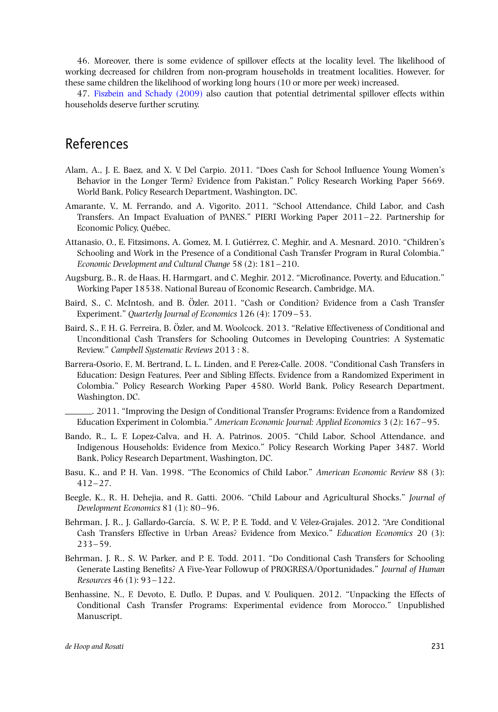<span id="page-29-0"></span>46. Moreover, there is some evidence of spillover effects at the locality level. The likelihood of working decreased for children from non-program households in treatment localities. However, for these same children the likelihood of working long hours (10 or more per week) increased.

47. [Fiszbein and Schady \(2009\)](#page-31-0) also caution that potential detrimental spillover effects within households deserve further scrutiny.

# References

- Alam, A., J. E. Baez, and X. V. Del Carpio. 2011. "Does Cash for School Influence Young Women's Behavior in the Longer Term? Evidence from Pakistan." Policy Research Working Paper 5669. World Bank, Policy Research Department, Washington, DC.
- Amarante, V., M. Ferrando, and A. Vigorito. 2011. "School Attendance, Child Labor, and Cash Transfers. An Impact Evaluation of PANES." PIERI Working Paper 2011–22. Partnership for Economic Policy, Québec.
- Attanasio, O., E. Fitzsimons, A. Gomez, M. I. Gutiérrez, C. Meghir, and A. Mesnard. 2010. "Children's Schooling and Work in the Presence of a Conditional Cash Transfer Program in Rural Colombia." Economic Development and Cultural Change 58 (2): 181–210.
- Augsburg, B., R. de Haas, H. Harmgart, and C. Meghir. 2012. "Microfinance, Poverty, and Education." Working Paper 18538. National Bureau of Economic Research, Cambridge, MA.
- Baird, S., C. McIntosh, and B. Özler. 2011. "Cash or Condition? Evidence from a Cash Transfer Experiment." Quarterly Journal of Economics 126 (4): 1709–53.
- Baird, S., F. H. G. Ferreira, B. Özler, and M. Woolcock. 2013. "Relative Effectiveness of Conditional and Unconditional Cash Transfers for Schooling Outcomes in Developing Countries: A Systematic Review." Campbell Systematic Reviews 2013 : 8.
- Barrera-Osorio, F., M. Bertrand, L. L. Linden, and F. Perez-Calle. 2008. "Conditional Cash Transfers in Education: Design Features, Peer and Sibling Effects. Evidence from a Randomized Experiment in Colombia." Policy Research Working Paper 4580. World Bank, Policy Research Department, Washington, DC.

. 2011. "Improving the Design of Conditional Transfer Programs: Evidence from a Randomized Education Experiment in Colombia." American Economic Journal: Applied Economics 3 (2): 167–95.

- Bando, R., L. F. Lopez-Calva, and H. A. Patrinos. 2005. "Child Labor, School Attendance, and Indigenous Households: Evidence from Mexico." Policy Research Working Paper 3487. World Bank, Policy Research Department, Washington, DC.
- Basu, K., and P. H. Van. 1998. "The Economics of Child Labor." American Economic Review 88 (3): 412–27.
- Beegle, K., R. H. Dehejia, and R. Gatti. 2006. "Child Labour and Agricultural Shocks." Journal of Development Economics 81 (1): 80-96.
- Behrman, J. R., J. Gallardo-García, S. W. P., P. E. Todd, and V. Vélez-Grajales. 2012. "Are Conditional Cash Transfers Effective in Urban Areas? Evidence from Mexico." Education Economics 20 (3): 233–59.
- Behrman, J. R., S. W. Parker, and P. E. Todd. 2011. "Do Conditional Cash Transfers for Schooling Generate Lasting Benefits? A Five-Year Followup of PROGRESA/Oportunidades." Journal of Human Resources 46 (1): 93 –122.
- Benhassine, N., F. Devoto, E. Duflo, P. Dupas, and V. Pouliquen. 2012. "Unpacking the Effects of Conditional Cash Transfer Programs: Experimental evidence from Morocco." Unpublished Manuscript.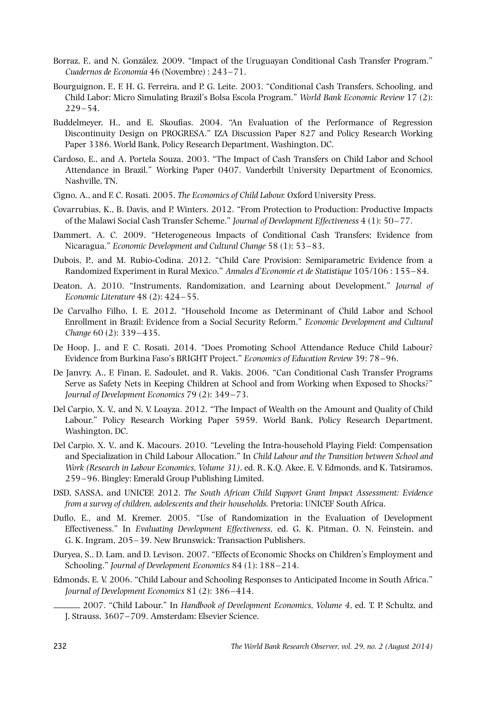- <span id="page-30-0"></span>Borraz, F., and N. González. 2009. "Impact of the Uruguayan Conditional Cash Transfer Program." Cuadernos de Economía 46 (Novembre) : 243-71.
- Bourguignon, F., F. H. G. Ferreira, and P. G. Leite. 2003. "Conditional Cash Transfers, Schooling, and Child Labor: Micro Simulating Brazil's Bolsa Escola Program." World Bank Economic Review 17 (2):  $229 - 54.$
- Buddelmeyer, H., and E. Skoufias. 2004. "An Evaluation of the Performance of Regression Discontinuity Design on PROGRESA." IZA Discussion Paper 827 and Policy Research Working Paper 3386. World Bank, Policy Research Department, Washington, DC.
- Cardoso, E., and A. Portela Souza. 2003. "The Impact of Cash Transfers on Child Labor and School Attendance in Brazil." Working Paper 0407. Vanderbilt University Department of Economics, Nashville, TN.
- Cigno, A., and F. C. Rosati. 2005. The Economics of Child Labour. Oxford University Press.
- Covarrubias, K., B. Davis, and P. Winters. 2012. "From Protection to Production: Productive Impacts of the Malawi Social Cash Transfer Scheme." Journal of Development Effectiveness 4 (1): 50 –77.
- Dammert, A. C. 2009. "Heterogeneous Impacts of Conditional Cash Transfers: Evidence from Nicaragua." Economic Development and Cultural Change 58 (1): 53 –83.
- Dubois, P., and M. Rubio-Codina. 2012. "Child Care Provision: Semiparametric Evidence from a Randomized Experiment in Rural Mexico." Annales d'Economie et de Statistique 105/106 : 155 –84.
- Deaton, A. 2010. "Instruments, Randomization, and Learning about Development." Journal of Economic Literature 48 (2): 424–55.
- De Carvalho Filho, I. E. 2012. "Household Income as Determinant of Child Labor and School Enrollment in Brazil: Evidence from a Social Security Reform." Economic Development and Cultural Change 60 (2): 339–435.
- De Hoop, J., and F. C. Rosati. 2014. "Does Promoting School Attendance Reduce Child Labour? Evidence from Burkina Faso's BRIGHT Project." Economics of Education Review 39: 78 –96.
- De Janvry, A., F. Finan, E. Sadoulet, and R. Vakis. 2006. "Can Conditional Cash Transfer Programs Serve as Safety Nets in Keeping Children at School and from Working when Exposed to Shocks?" Journal of Development Economics 79 (2): 349–73.
- Del Carpio, X. V., and N. V. Loayza. 2012. "The Impact of Wealth on the Amount and Quality of Child Labour." Policy Research Working Paper 5959. World Bank, Policy Research Department, Washington, DC.
- Del Carpio, X. V., and K. Macours. 2010. "Leveling the Intra-household Playing Field: Compensation and Specialization in Child Labour Allocation." In Child Labour and the Transition between School and Work (Research in Labour Economics, Volume 31), ed. R. K.Q. Akee, E. V. Edmonds, and K. Tatsiramos, 259 –96. Bingley: Emerald Group Publishing Limited.
- DSD, SASSA, and UNICEF. 2012. The South African Child Support Grant Impact Assessment: Evidence from a survey of children, adolescents and their households. Pretoria: UNICEF South Africa.
- Duflo, E., and M. Kremer. 2005. "Use of Randomization in the Evaluation of Development Effectiveness." In Evaluating Development Effectiveness, ed. G. K. Pitman, O. N. Feinstein, and G. K. Ingram, 205–39. New Brunswick: Transaction Publishers.
- Duryea, S., D. Lam, and D. Levison. 2007. "Effects of Economic Shocks on Children's Employment and Schooling." Journal of Development Economics 84 (1): 188-214.
- Edmonds, E. V. 2006. "Child Labour and Schooling Responses to Anticipated Income in South Africa." Journal of Development Economics 81 (2): 386–414.

2007. "Child Labour." In Handbook of Development Economics, Volume 4, ed. T. P. Schultz, and J. Strauss, 3607–709. Amsterdam: Elsevier Science.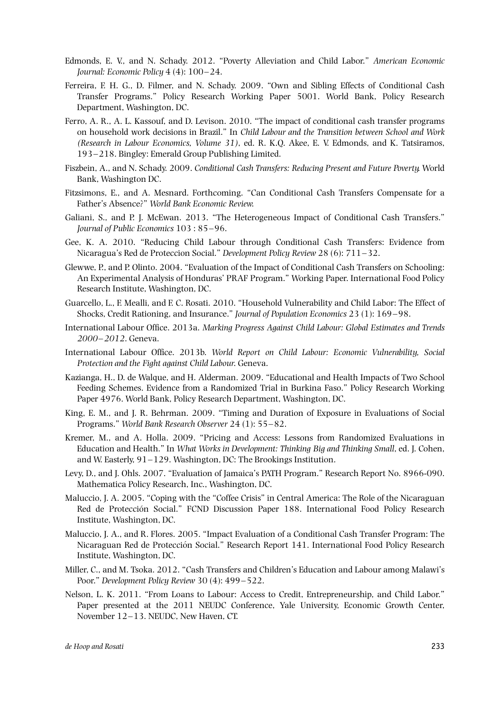- <span id="page-31-0"></span>Edmonds, E. V., and N. Schady. 2012. "Poverty Alleviation and Child Labor." American Economic Journal: Economic Policy 4 (4): 100–24.
- Ferreira, F. H. G., D. Filmer, and N. Schady. 2009. "Own and Sibling Effects of Conditional Cash Transfer Programs." Policy Research Working Paper 5001. World Bank, Policy Research Department, Washington, DC.
- Ferro, A. R., A. L. Kassouf, and D. Levison. 2010. "The impact of conditional cash transfer programs on household work decisions in Brazil." In Child Labour and the Transition between School and Work (Research in Labour Economics, Volume 31), ed. R. K.Q. Akee, E. V. Edmonds, and K. Tatsiramos, 193–218. Bingley: Emerald Group Publishing Limited.
- Fiszbein, A., and N. Schady. 2009. Conditional Cash Transfers: Reducing Present and Future Poverty. World Bank, Washington DC.
- Fitzsimons, E., and A. Mesnard. Forthcoming. "Can Conditional Cash Transfers Compensate for a Father's Absence?" World Bank Economic Review.
- Galiani, S., and P. J. McEwan. 2013. "The Heterogeneous Impact of Conditional Cash Transfers." Journal of Public Economics 103 : 85 –96.
- Gee, K. A. 2010. "Reducing Child Labour through Conditional Cash Transfers: Evidence from Nicaragua's Red de Proteccion Social." Development Policy Review 28 (6): 711 –32.
- Glewwe, P., and P. Olinto. 2004. "Evaluation of the Impact of Conditional Cash Transfers on Schooling: An Experimental Analysis of Honduras' PRAF Program." Working Paper. International Food Policy Research Institute, Washington, DC.
- Guarcello, L., F. Mealli, and F. C. Rosati. 2010. "Household Vulnerability and Child Labor: The Effect of Shocks, Credit Rationing, and Insurance." Journal of Population Economics 23 (1): 169–98.
- International Labour Office. 2013a. Marking Progress Against Child Labour: Global Estimates and Trends 2000–2012. Geneva.
- International Labour Office. 2013b. World Report on Child Labour: Economic Vulnerability, Social Protection and the Fight against Child Labour. Geneva.
- Kazianga, H., D. de Walque, and H. Alderman. 2009. "Educational and Health Impacts of Two School Feeding Schemes. Evidence from a Randomized Trial in Burkina Faso." Policy Research Working Paper 4976. World Bank, Policy Research Department, Washington, DC.
- King, E. M., and J. R. Behrman. 2009. "Timing and Duration of Exposure in Evaluations of Social Programs." World Bank Research Observer 24 (1): 55 –82.
- Kremer, M., and A. Holla. 2009. "Pricing and Access: Lessons from Randomized Evaluations in Education and Health." In What Works in Development: Thinking Big and Thinking Small, ed. J. Cohen, and W. Easterly, 91 –129. Washington, DC: The Brookings Institution.
- Levy, D., and J. Ohls. 2007. "Evaluation of Jamaica's PATH Program." Research Report No. 8966-090. Mathematica Policy Research, Inc., Washington, DC.
- Maluccio, J. A. 2005. "Coping with the "Coffee Crisis" in Central America: The Role of the Nicaraguan Red de Protección Social." FCND Discussion Paper 188. International Food Policy Research Institute, Washington, DC.
- Maluccio, J. A., and R. Flores. 2005. "Impact Evaluation of a Conditional Cash Transfer Program: The Nicaraguan Red de Protección Social." Research Report 141. International Food Policy Research Institute, Washington, DC.
- Miller, C., and M. Tsoka. 2012. "Cash Transfers and Children's Education and Labour among Malawi's Poor." Development Policy Review 30 (4): 499–522.
- Nelson, L. K. 2011. "From Loans to Labour: Access to Credit, Entrepreneurship, and Child Labor." Paper presented at the 2011 NEUDC Conference, Yale University, Economic Growth Center, November 12 –13. NEUDC, New Haven, CT.